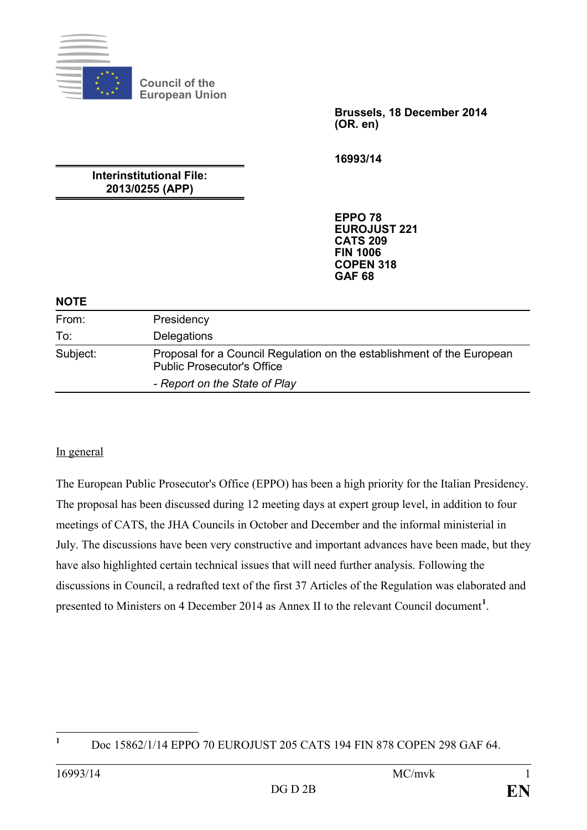

**Council of the European Union**

> **Brussels, 18 December 2014 (OR. en)**

**16993/14**

**Interinstitutional File: 2013/0255 (APP)**

> **EPPO 78 EUROJUST 221 CATS 209 FIN 1006 COPEN 318 GAF 68**

#### **NOTE**

| From:    | Presidency                                                                                                  |
|----------|-------------------------------------------------------------------------------------------------------------|
| To:      | Delegations                                                                                                 |
| Subject: | Proposal for a Council Regulation on the establishment of the European<br><b>Public Prosecutor's Office</b> |
|          | - Report on the State of Play                                                                               |

#### In general

The European Public Prosecutor's Office (EPPO) has been a high priority for the Italian Presidency. The proposal has been discussed during 12 meeting days at expert group level, in addition to four meetings of CATS, the JHA Councils in October and December and the informal ministerial in July. The discussions have been very constructive and important advances have been made, but they have also highlighted certain technical issues that will need further analysis. Following the discussions in Council, a redrafted text of the first 37 Articles of the Regulation was elaborated and presented to Ministers on 4 December 2014 as Annex II to the relevant Council document**[1](#page-0-0)** .

<span id="page-0-0"></span> $\mathbf{1}$ 

**<sup>1</sup>** Doc 15862/1/14 EPPO 70 EUROJUST 205 CATS 194 FIN 878 COPEN 298 GAF 64.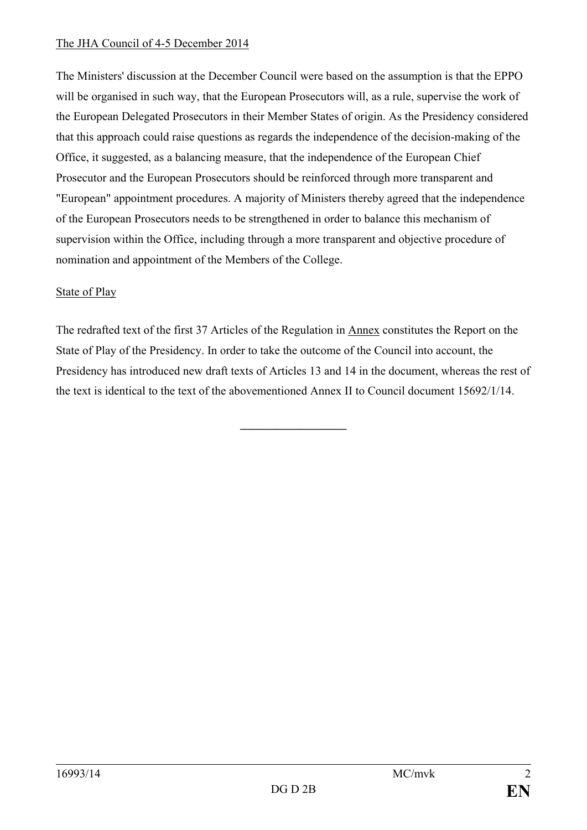#### The JHA Council of 4-5 December 2014

The Ministers' discussion at the December Council were based on the assumption is that the EPPO will be organised in such way, that the European Prosecutors will, as a rule, supervise the work of the European Delegated Prosecutors in their Member States of origin. As the Presidency considered that this approach could raise questions as regards the independence of the decision-making of the Office, it suggested, as a balancing measure, that the independence of the European Chief Prosecutor and the European Prosecutors should be reinforced through more transparent and "European" appointment procedures. A majority of Ministers thereby agreed that the independence of the European Prosecutors needs to be strengthened in order to balance this mechanism of supervision within the Office, including through a more transparent and objective procedure of nomination and appointment of the Members of the College.

#### State of Play

The redrafted text of the first 37 Articles of the Regulation in Annex constitutes the Report on the State of Play of the Presidency. In order to take the outcome of the Council into account, the Presidency has introduced new draft texts of Articles 13 and 14 in the document, whereas the rest of the text is identical to the text of the abovementioned Annex II to Council document 15692/1/14.

**\_\_\_\_\_\_\_\_\_\_\_\_\_\_\_\_\_\_**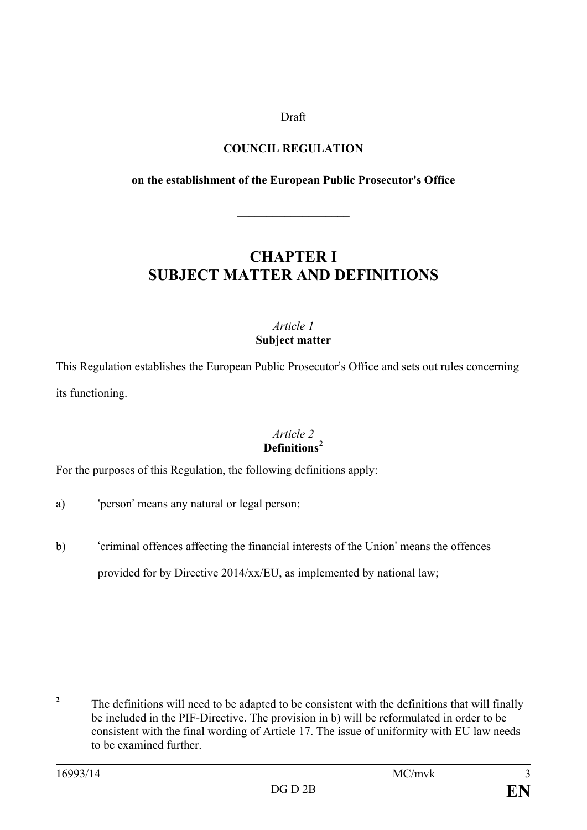#### Draft

#### **COUNCIL REGULATION**

#### **on the establishment of the European Public Prosecutor's Office**

**\_\_\_\_\_\_\_\_\_\_\_\_\_\_\_\_\_\_\_**

### **CHAPTER I SUBJECT MATTER AND DEFINITIONS**

#### *Article 1* **Subject matter**

This Regulation establishes the European Public Prosecutor's Office and sets out rules concerning its functioning.

#### *Article 2* **Definitions**[2](#page-2-0)

For the purposes of this Regulation, the following definitions apply:

- a) 'person' means any natural or legal person;
- b) 'criminal offences affecting the financial interests of the Union' means the offences provided for by Directive 2014/xx/EU, as implemented by national law;

<span id="page-2-0"></span>**<sup>2</sup>** The definitions will need to be adapted to be consistent with the definitions that will finally be included in the PIF-Directive. The provision in b) will be reformulated in order to be consistent with the final wording of Article 17. The issue of uniformity with EU law needs to be examined further.  $\overline{2}$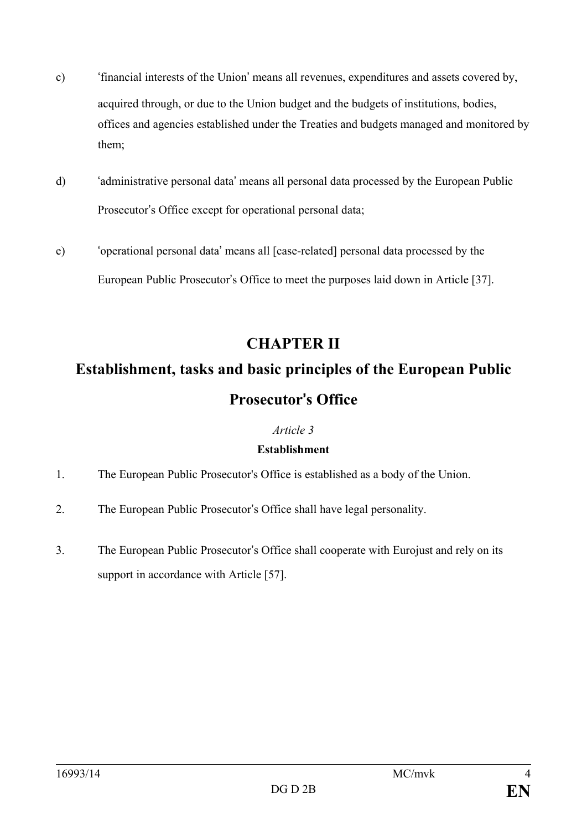- c) 'financial interests of the Union' means all revenues, expenditures and assets covered by, acquired through, or due to the Union budget and the budgets of institutions, bodies, offices and agencies established under the Treaties and budgets managed and monitored by them;
- d) 'administrative personal data' means all personal data processed by the European Public Prosecutor's Office except for operational personal data;
- e) 'operational personal data' means all [case-related] personal data processed by the European Public Prosecutor's Office to meet the purposes laid down in Article [37].

### **CHAPTER II**

# **Establishment, tasks and basic principles of the European Public Prosecutor**'**s Office**

#### *Article 3*

#### **Establishment**

- 1. The European Public Prosecutor's Office is established as a body of the Union.
- 2. The European Public Prosecutor's Office shall have legal personality.
- 3. The European Public Prosecutor's Office shall cooperate with Eurojust and rely on its support in accordance with Article [57].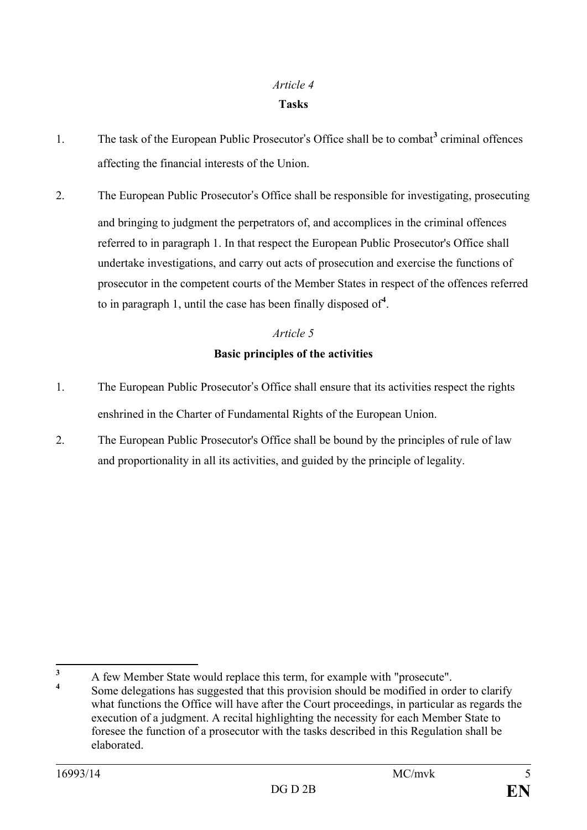### *Article 4* **Tasks**

- 1. The task of the European Public Prosecutor's Office shall be to combat**[3](#page-4-0)** criminal offences affecting the financial interests of the Union.
- 2. The European Public Prosecutor's Office shall be responsible for investigating, prosecuting and bringing to judgment the perpetrators of, and accomplices in the criminal offences referred to in paragraph 1. In that respect the European Public Prosecutor's Office shall undertake investigations, and carry out acts of prosecution and exercise the functions of prosecutor in the competent courts of the Member States in respect of the offences referred to in paragraph 1, until the case has been finally disposed of**[4](#page-4-1)** .

#### *Article 5*

#### **Basic principles of the activities**

- 1. The European Public Prosecutor's Office shall ensure that its activities respect the rights enshrined in the Charter of Fundamental Rights of the European Union.
- 2. The European Public Prosecutor's Office shall be bound by the principles of rule of law and proportionality in all its activities, and guided by the principle of legality.

<span id="page-4-1"></span><span id="page-4-0"></span><sup>&</sup>lt;sup>3</sup> A few Member State would replace this term, for example with "prosecute".  $\overline{\mathbf{3}}$ 

Some delegations has suggested that this provision should be modified in order to clarify what functions the Office will have after the Court proceedings, in particular as regards the execution of a judgment. A recital highlighting the necessity for each Member State to foresee the function of a prosecutor with the tasks described in this Regulation shall be elaborated.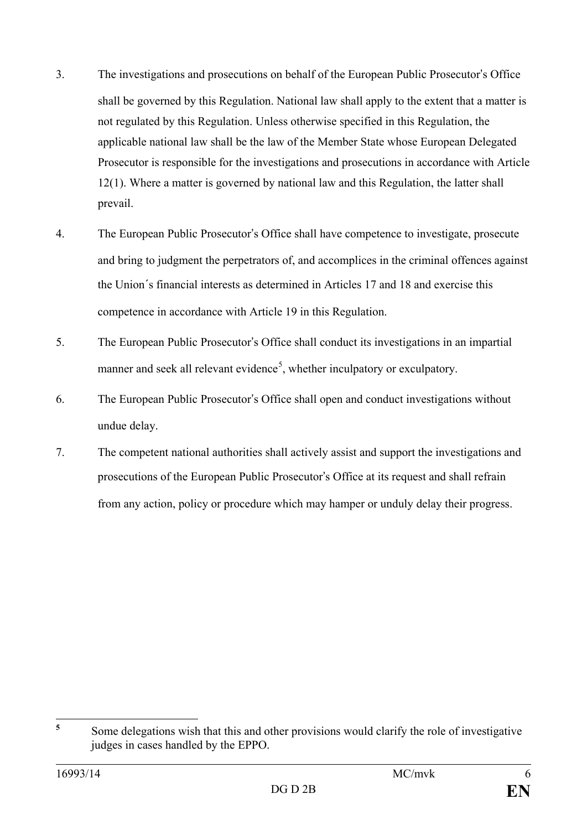- 3. The investigations and prosecutions on behalf of the European Public Prosecutor's Office shall be governed by this Regulation. National law shall apply to the extent that a matter is not regulated by this Regulation. Unless otherwise specified in this Regulation, the applicable national law shall be the law of the Member State whose European Delegated Prosecutor is responsible for the investigations and prosecutions in accordance with Article 12(1). Where a matter is governed by national law and this Regulation, the latter shall prevail.
- 4. The European Public Prosecutor's Office shall have competence to investigate, prosecute and bring to judgment the perpetrators of, and accomplices in the criminal offences against the Union´s financial interests as determined in Articles 17 and 18 and exercise this competence in accordance with Article 19 in this Regulation.
- 5. The European Public Prosecutor's Office shall conduct its investigations in an impartial manner and seek all relevant evidence<sup>[5](#page-5-0)</sup>, whether inculpatory or exculpatory.
- 6. The European Public Prosecutor's Office shall open and conduct investigations without undue delay.
- 7. The competent national authorities shall actively assist and support the investigations and prosecutions of the European Public Prosecutor's Office at its request and shall refrain from any action, policy or procedure which may hamper or unduly delay their progress.

<span id="page-5-0"></span>**<sup>5</sup>** Some delegations wish that this and other provisions would clarify the role of investigative judges in cases handled by the EPPO.  $\overline{\mathbf{5}}$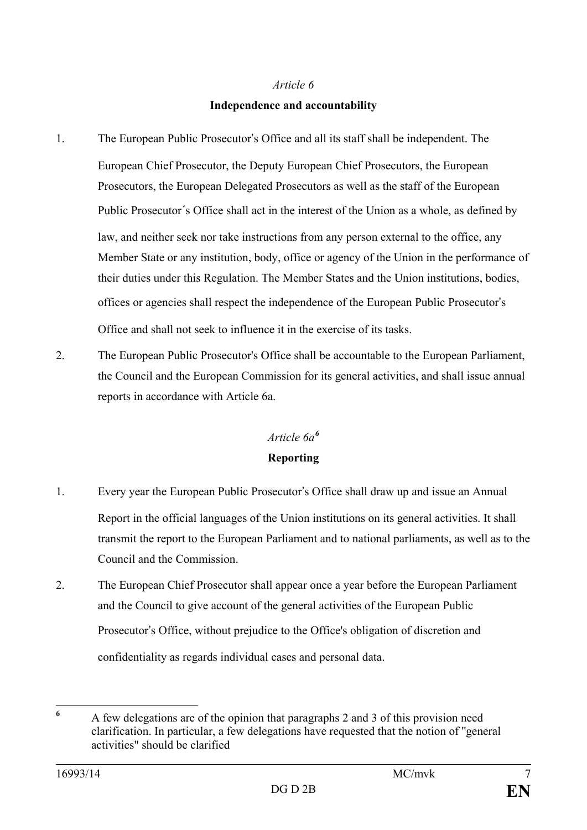#### **Independence and accountability**

- 1. The European Public Prosecutor's Office and all its staff shall be independent. The European Chief Prosecutor, the Deputy European Chief Prosecutors, the European Prosecutors, the European Delegated Prosecutors as well as the staff of the European Public Prosecutor´s Office shall act in the interest of the Union as a whole, as defined by law, and neither seek nor take instructions from any person external to the office, any Member State or any institution, body, office or agency of the Union in the performance of their duties under this Regulation. The Member States and the Union institutions, bodies, offices or agencies shall respect the independence of the European Public Prosecutor's Office and shall not seek to influence it in the exercise of its tasks.
- 2. The European Public Prosecutor's Office shall be accountable to the European Parliament, the Council and the European Commission for its general activities, and shall issue annual reports in accordance with Article 6a.

#### *Article 6a[6](#page-6-0)*

#### **Reporting**

- 1. Every year the European Public Prosecutor's Office shall draw up and issue an Annual Report in the official languages of the Union institutions on its general activities. It shall transmit the report to the European Parliament and to national parliaments, as well as to the Council and the Commission.
- 2. The European Chief Prosecutor shall appear once a year before the European Parliament and the Council to give account of the general activities of the European Public Prosecutor's Office, without prejudice to the Office's obligation of discretion and confidentiality as regards individual cases and personal data.

<span id="page-6-0"></span>**<sup>6</sup>** A few delegations are of the opinion that paragraphs 2 and 3 of this provision need clarification. In particular, a few delegations have requested that the notion of ''general activities" should be clarified  $\boldsymbol{6}$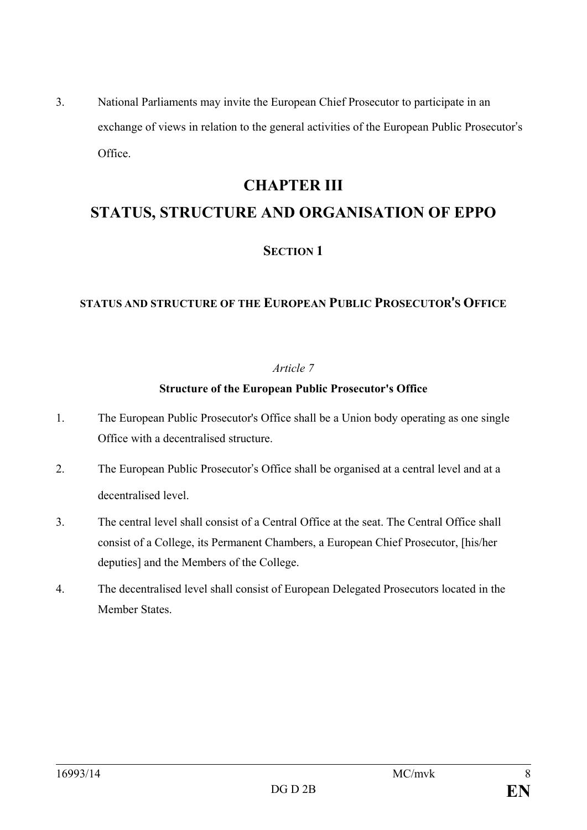3. National Parliaments may invite the European Chief Prosecutor to participate in an exchange of views in relation to the general activities of the European Public Prosecutor's Office.

### **CHAPTER III**

## **STATUS, STRUCTURE AND ORGANISATION OF EPPO**

#### **SECTION 1**

#### **STATUS AND STRUCTURE OF THE EUROPEAN PUBLIC PROSECUTOR**'**S OFFICE**

#### *Article 7*

#### **Structure of the European Public Prosecutor's Office**

- 1. The European Public Prosecutor's Office shall be a Union body operating as one single Office with a decentralised structure.
- 2. The European Public Prosecutor's Office shall be organised at a central level and at a decentralised level.
- 3. The central level shall consist of a Central Office at the seat. The Central Office shall consist of a College, its Permanent Chambers, a European Chief Prosecutor, [his/her deputies] and the Members of the College.
- 4. The decentralised level shall consist of European Delegated Prosecutors located in the Member States.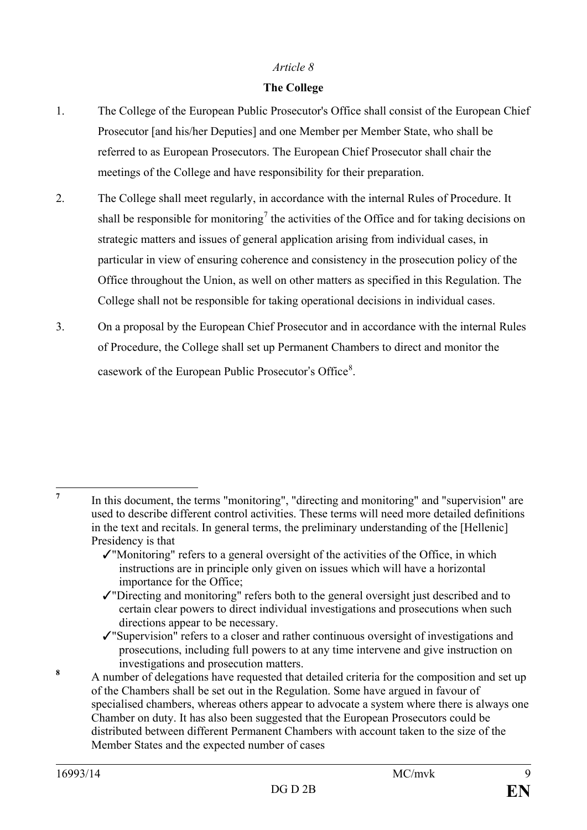#### **The College**

- 1. The College of the European Public Prosecutor's Office shall consist of the European Chief Prosecutor [and his/her Deputies] and one Member per Member State, who shall be referred to as European Prosecutors. The European Chief Prosecutor shall chair the meetings of the College and have responsibility for their preparation.
- 2. The College shall meet regularly, in accordance with the internal Rules of Procedure. It shall be responsible for monitoring<sup>[7](#page-8-0)</sup> the activities of the Office and for taking decisions on strategic matters and issues of general application arising from individual cases, in particular in view of ensuring coherence and consistency in the prosecution policy of the Office throughout the Union, as well on other matters as specified in this Regulation. The College shall not be responsible for taking operational decisions in individual cases.
- 3. On a proposal by the European Chief Prosecutor and in accordance with the internal Rules of Procedure, the College shall set up Permanent Chambers to direct and monitor the casework of the European Public Prosecutor's Office<sup>[8](#page-8-1)</sup>.

- ✓"Monitoring" refers to a general oversight of the activities of the Office, in which instructions are in principle only given on issues which will have a horizontal importance for the Office;
- ✓"Directing and monitoring" refers both to the general oversight just described and to certain clear powers to direct individual investigations and prosecutions when such directions appear to be necessary.
- ✓"Supervision" refers to a closer and rather continuous oversight of investigations and prosecutions, including full powers to at any time intervene and give instruction on
- <span id="page-8-1"></span>investigations and prosecution matters.<br>**8** A number of delegations have requested that detailed criteria for the composition and set up of the Chambers shall be set out in the Regulation. Some have argued in favour of specialised chambers, whereas others appear to advocate a system where there is always one Chamber on duty. It has also been suggested that the European Prosecutors could be distributed between different Permanent Chambers with account taken to the size of the Member States and the expected number of cases

<span id="page-8-0"></span>**<sup>7</sup>** In this document, the terms "monitoring", "directing and monitoring" and "supervision" are used to describe different control activities. These terms will need more detailed definitions in the text and recitals. In general terms, the preliminary understanding of the [Hellenic] Presidency is that  $\overline{7}$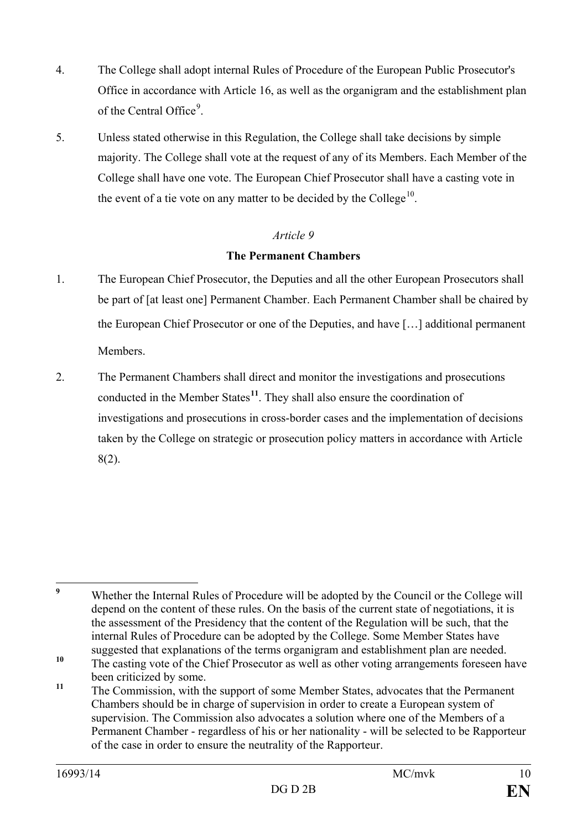- 4. The College shall adopt internal Rules of Procedure of the European Public Prosecutor's Office in accordance with Article 16, as well as the organigram and the establishment plan of the Central Office<sup>[9](#page-9-0)</sup>.
- 5. Unless stated otherwise in this Regulation, the College shall take decisions by simple majority. The College shall vote at the request of any of its Members. Each Member of the College shall have one vote. The European Chief Prosecutor shall have a casting vote in the event of a tie vote on any matter to be decided by the College<sup>[10](#page-9-1)</sup>.

#### **The Permanent Chambers**

- 1. The European Chief Prosecutor, the Deputies and all the other European Prosecutors shall be part of [at least one] Permanent Chamber. Each Permanent Chamber shall be chaired by the European Chief Prosecutor or one of the Deputies, and have […] additional permanent Members.
- 2. The Permanent Chambers shall direct and monitor the investigations and prosecutions conducted in the Member States**[11](#page-9-2)**. They shall also ensure the coordination of investigations and prosecutions in cross-border cases and the implementation of decisions taken by the College on strategic or prosecution policy matters in accordance with Article 8(2).

<span id="page-9-0"></span>**<sup>9</sup>** Whether the Internal Rules of Procedure will be adopted by the Council or the College will depend on the content of these rules. On the basis of the current state of negotiations, it is the assessment of the Presidency that the content of the Regulation will be such, that the internal Rules of Procedure can be adopted by the College. Some Member States have suggested that explanations of the terms organigram and establishment plan are needed.  $\overline{9}$ 

<span id="page-9-1"></span><sup>&</sup>lt;sup>10</sup> The casting vote of the Chief Prosecutor as well as other voting arrangements foreseen have been criticized by some.

<span id="page-9-2"></span><sup>&</sup>lt;sup>11</sup> The Commission, with the support of some Member States, advocates that the Permanent Chambers should be in charge of supervision in order to create a European system of supervision. The Commission also advocates a solution where one of the Members of a Permanent Chamber - regardless of his or her nationality - will be selected to be Rapporteur of the case in order to ensure the neutrality of the Rapporteur.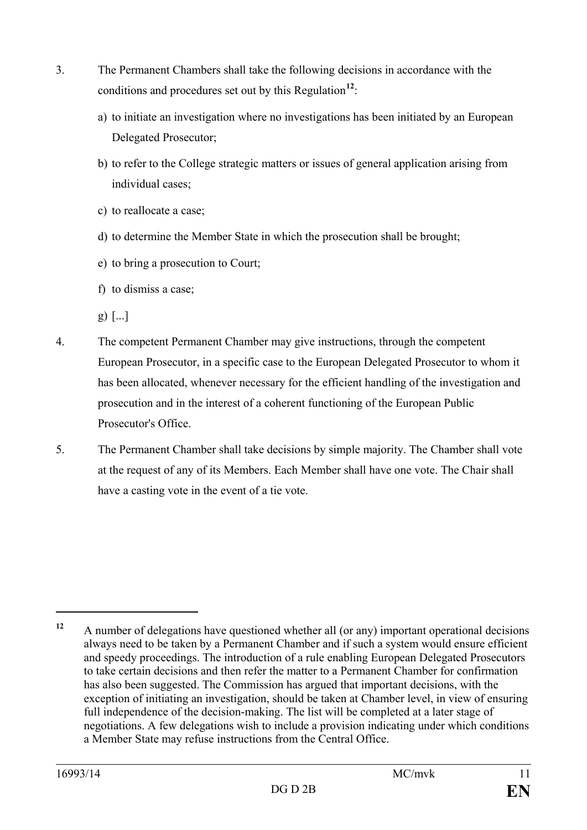- 3. The Permanent Chambers shall take the following decisions in accordance with the conditions and procedures set out by this Regulation**[12](#page-10-0)**:
	- a) to initiate an investigation where no investigations has been initiated by an European Delegated Prosecutor;
	- b) to refer to the College strategic matters or issues of general application arising from individual cases;
	- c) to reallocate a case;
	- d) to determine the Member State in which the prosecution shall be brought;
	- e) to bring a prosecution to Court;
	- f) to dismiss a case;
	- $g)$  [...]
- 4. The competent Permanent Chamber may give instructions, through the competent European Prosecutor, in a specific case to the European Delegated Prosecutor to whom it has been allocated, whenever necessary for the efficient handling of the investigation and prosecution and in the interest of a coherent functioning of the European Public Prosecutor's Office.
- 5. The Permanent Chamber shall take decisions by simple majority. The Chamber shall vote at the request of any of its Members. Each Member shall have one vote. The Chair shall have a casting vote in the event of a tie vote.

 $\overline{a}$ 

<span id="page-10-0"></span>**<sup>12</sup>** A number of delegations have questioned whether all (or any) important operational decisions always need to be taken by a Permanent Chamber and if such a system would ensure efficient and speedy proceedings. The introduction of a rule enabling European Delegated Prosecutors to take certain decisions and then refer the matter to a Permanent Chamber for confirmation has also been suggested. The Commission has argued that important decisions, with the exception of initiating an investigation, should be taken at Chamber level, in view of ensuring full independence of the decision-making. The list will be completed at a later stage of negotiations. A few delegations wish to include a provision indicating under which conditions a Member State may refuse instructions from the Central Office.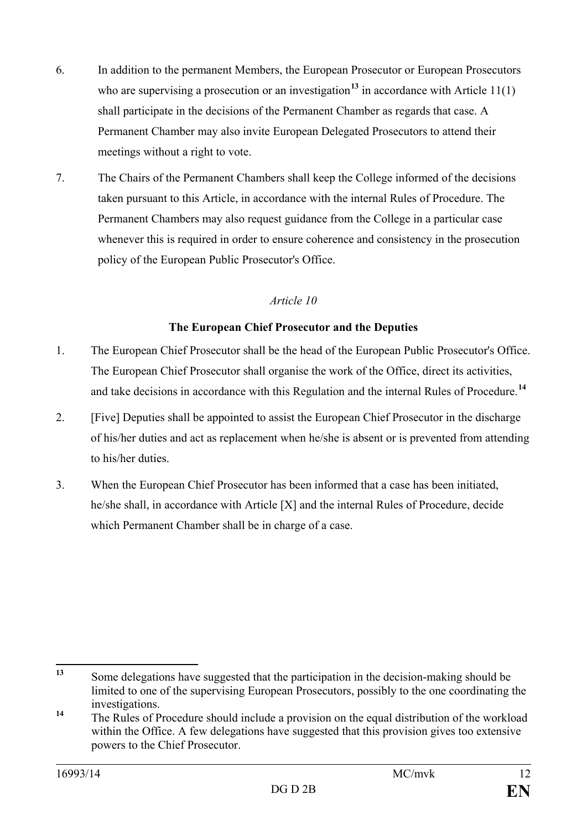- 6. In addition to the permanent Members, the European Prosecutor or European Prosecutors who are supervising a prosecution or an investigation<sup>[13](#page-11-0)</sup> in accordance with Article  $11(1)$ shall participate in the decisions of the Permanent Chamber as regards that case. A Permanent Chamber may also invite European Delegated Prosecutors to attend their meetings without a right to vote.
- 7. The Chairs of the Permanent Chambers shall keep the College informed of the decisions taken pursuant to this Article, in accordance with the internal Rules of Procedure. The Permanent Chambers may also request guidance from the College in a particular case whenever this is required in order to ensure coherence and consistency in the prosecution policy of the European Public Prosecutor's Office.

#### **The European Chief Prosecutor and the Deputies**

- 1. The European Chief Prosecutor shall be the head of the European Public Prosecutor's Office. The European Chief Prosecutor shall organise the work of the Office, direct its activities, and take decisions in accordance with this Regulation and the internal Rules of Procedure.**[14](#page-11-1)**
- 2. [Five] Deputies shall be appointed to assist the European Chief Prosecutor in the discharge of his/her duties and act as replacement when he/she is absent or is prevented from attending to his/her duties.
- 3. When the European Chief Prosecutor has been informed that a case has been initiated, he/she shall, in accordance with Article [X] and the internal Rules of Procedure, decide which Permanent Chamber shall be in charge of a case.

<span id="page-11-0"></span>**<sup>13</sup>** Some delegations have suggested that the participation in the decision-making should be limited to one of the supervising European Prosecutors, possibly to the one coordinating the investigations.  $13$ 

<span id="page-11-1"></span><sup>&</sup>lt;sup>14</sup> The Rules of Procedure should include a provision on the equal distribution of the workload within the Office. A few delegations have suggested that this provision gives too extensive powers to the Chief Prosecutor.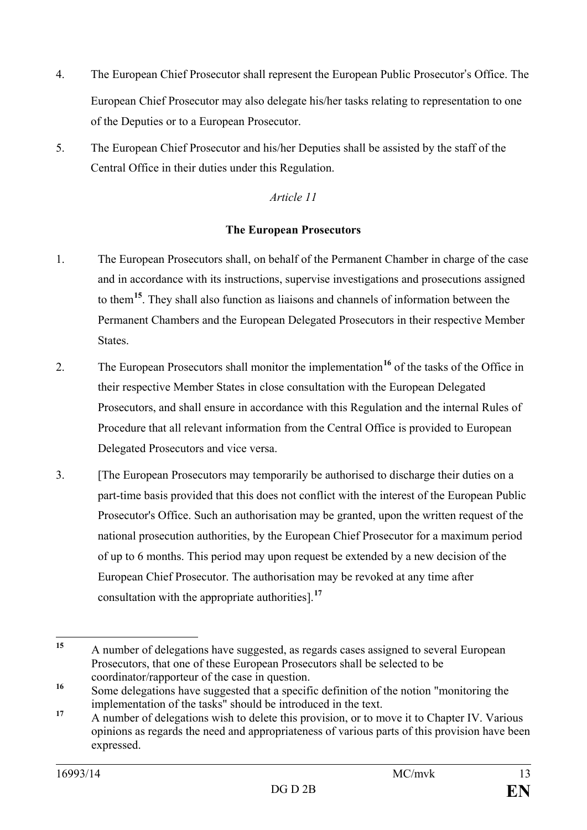- 4. The European Chief Prosecutor shall represent the European Public Prosecutor's Office. The European Chief Prosecutor may also delegate his/her tasks relating to representation to one of the Deputies or to a European Prosecutor.
- 5. The European Chief Prosecutor and his/her Deputies shall be assisted by the staff of the Central Office in their duties under this Regulation.

#### **The European Prosecutors**

- 1. The European Prosecutors shall, on behalf of the Permanent Chamber in charge of the case and in accordance with its instructions, supervise investigations and prosecutions assigned to them**[15](#page-12-0)**. They shall also function as liaisons and channels of information between the Permanent Chambers and the European Delegated Prosecutors in their respective Member States.
- 2. The European Prosecutors shall monitor the implementation**[16](#page-12-1)** of the tasks of the Office in their respective Member States in close consultation with the European Delegated Prosecutors, and shall ensure in accordance with this Regulation and the internal Rules of Procedure that all relevant information from the Central Office is provided to European Delegated Prosecutors and vice versa.
- 3. [The European Prosecutors may temporarily be authorised to discharge their duties on a part-time basis provided that this does not conflict with the interest of the European Public Prosecutor's Office. Such an authorisation may be granted, upon the written request of the national prosecution authorities, by the European Chief Prosecutor for a maximum period of up to 6 months. This period may upon request be extended by a new decision of the European Chief Prosecutor. The authorisation may be revoked at any time after consultation with the appropriate authorities].**[17](#page-12-2)**

<span id="page-12-0"></span>**<sup>15</sup>** A number of delegations have suggested, as regards cases assigned to several European Prosecutors, that one of these European Prosecutors shall be selected to be coordinator/rapporteur of the case in question.  $15$ 

<span id="page-12-1"></span><sup>&</sup>lt;sup>16</sup> Some delegations have suggested that a specific definition of the notion "monitoring the implementation of the tasks" should be introduced in the text.

<span id="page-12-2"></span><sup>&</sup>lt;sup>17</sup> A number of delegations wish to delete this provision, or to move it to Chapter IV. Various opinions as regards the need and appropriateness of various parts of this provision have been expressed.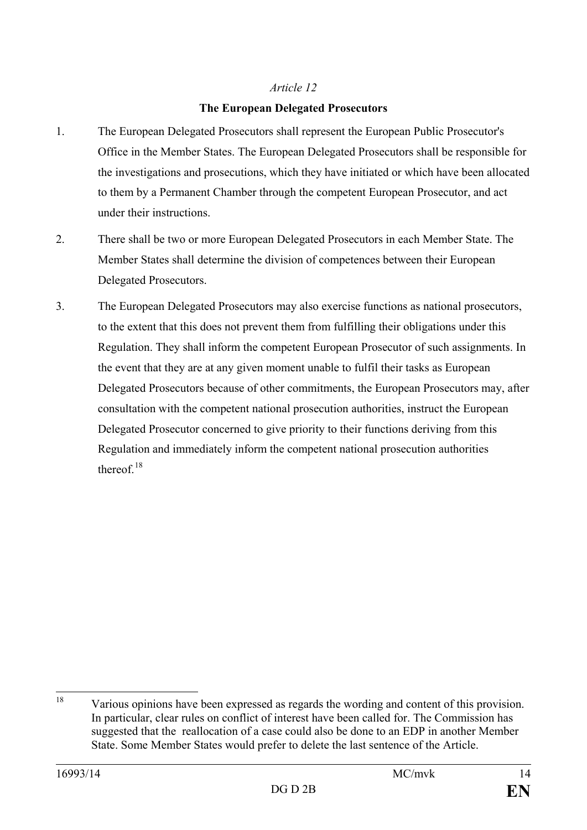#### **The European Delegated Prosecutors**

- 1. The European Delegated Prosecutors shall represent the European Public Prosecutor's Office in the Member States. The European Delegated Prosecutors shall be responsible for the investigations and prosecutions, which they have initiated or which have been allocated to them by a Permanent Chamber through the competent European Prosecutor, and act under their instructions.
- 2. There shall be two or more European Delegated Prosecutors in each Member State. The Member States shall determine the division of competences between their European Delegated Prosecutors.
- 3. The European Delegated Prosecutors may also exercise functions as national prosecutors, to the extent that this does not prevent them from fulfilling their obligations under this Regulation. They shall inform the competent European Prosecutor of such assignments. In the event that they are at any given moment unable to fulfil their tasks as European Delegated Prosecutors because of other commitments, the European Prosecutors may, after consultation with the competent national prosecution authorities, instruct the European Delegated Prosecutor concerned to give priority to their functions deriving from this Regulation and immediately inform the competent national prosecution authorities thereof $18$

<span id="page-13-0"></span>Various opinions have been expressed as regards the wording and content of this provision. In particular, clear rules on conflict of interest have been called for. The Commission has suggested that the reallocation of a case could also be done to an EDP in another Member State. Some Member States would prefer to delete the last sentence of the Article. 18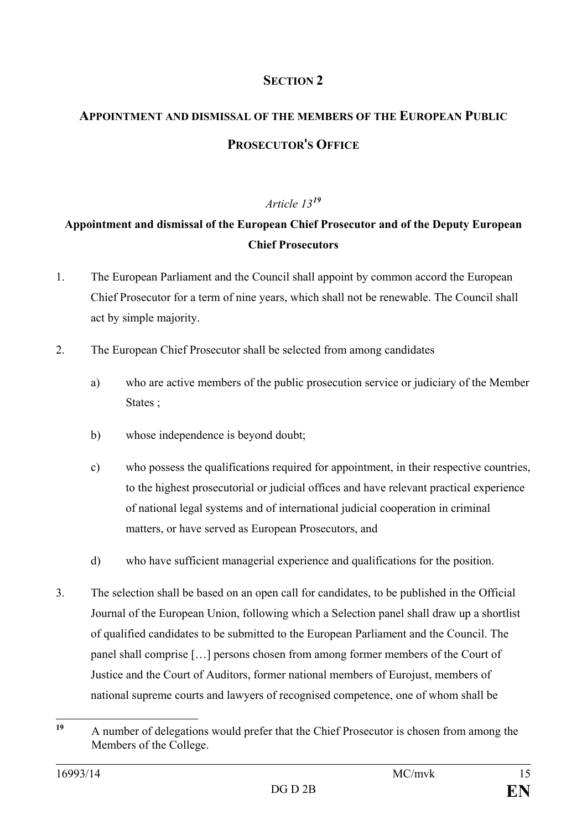#### **SECTION 2**

## **APPOINTMENT AND DISMISSAL OF THE MEMBERS OF THE EUROPEAN PUBLIC PROSECUTOR**'**S OFFICE**

#### *Article 13[19](#page-14-0)*

### **Appointment and dismissal of the European Chief Prosecutor and of the Deputy European Chief Prosecutors**

- 1. The European Parliament and the Council shall appoint by common accord the European Chief Prosecutor for a term of nine years, which shall not be renewable. The Council shall act by simple majority.
- 2. The European Chief Prosecutor shall be selected from among candidates
	- a) who are active members of the public prosecution service or judiciary of the Member States ;
	- b) whose independence is beyond doubt;
	- c) who possess the qualifications required for appointment, in their respective countries, to the highest prosecutorial or judicial offices and have relevant practical experience of national legal systems and of international judicial cooperation in criminal matters, or have served as European Prosecutors, and
	- d) who have sufficient managerial experience and qualifications for the position.
- 3. The selection shall be based on an open call for candidates, to be published in the Official Journal of the European Union, following which a Selection panel shall draw up a shortlist of qualified candidates to be submitted to the European Parliament and the Council. The panel shall comprise […] persons chosen from among former members of the Court of Justice and the Court of Auditors, former national members of Eurojust, members of national supreme courts and lawyers of recognised competence, one of whom shall be

<span id="page-14-0"></span>**<sup>19</sup>** A number of delegations would prefer that the Chief Prosecutor is chosen from among the Members of the College.  $19$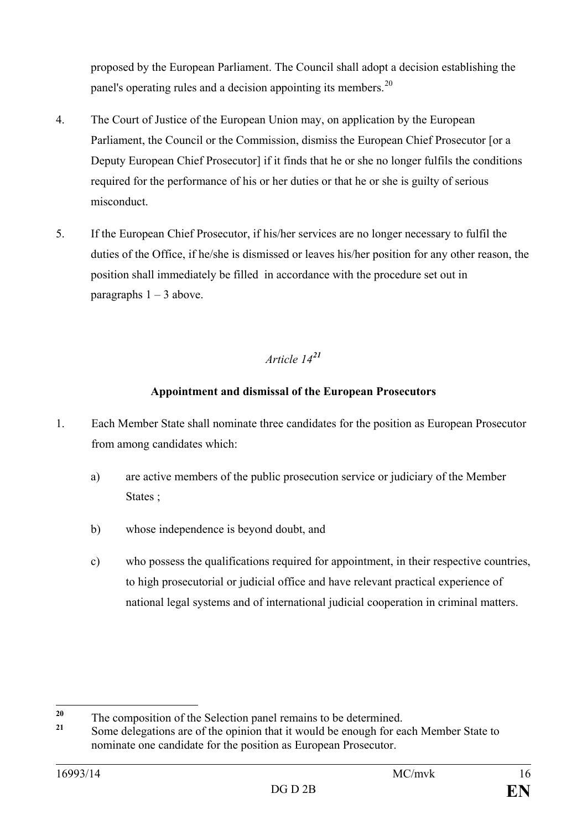proposed by the European Parliament. The Council shall adopt a decision establishing the panel's operating rules and a decision appointing its members.<sup>[20](#page-15-0)</sup>

- 4. The Court of Justice of the European Union may, on application by the European Parliament, the Council or the Commission, dismiss the European Chief Prosecutor [or a Deputy European Chief Prosecutor] if it finds that he or she no longer fulfils the conditions required for the performance of his or her duties or that he or she is guilty of serious misconduct.
- 5. If the European Chief Prosecutor, if his/her services are no longer necessary to fulfil the duties of the Office, if he/she is dismissed or leaves his/her position for any other reason, the position shall immediately be filled in accordance with the procedure set out in paragraphs  $1 - 3$  above.

#### *Article 14[21](#page-15-1)*

#### **Appointment and dismissal of the European Prosecutors**

- 1. Each Member State shall nominate three candidates for the position as European Prosecutor from among candidates which:
	- a) are active members of the public prosecution service or judiciary of the Member States :
	- b) whose independence is beyond doubt, and
	- c) who possess the qualifications required for appointment, in their respective countries, to high prosecutorial or judicial office and have relevant practical experience of national legal systems and of international judicial cooperation in criminal matters.

 $20$ 

<span id="page-15-1"></span><span id="page-15-0"></span><sup>&</sup>lt;sup>20</sup> The composition of the Selection panel remains to be determined.<br><sup>21</sup> Some delegations are of the opinion that it would be enough for each Member State to nominate one candidate for the position as European Prosecutor.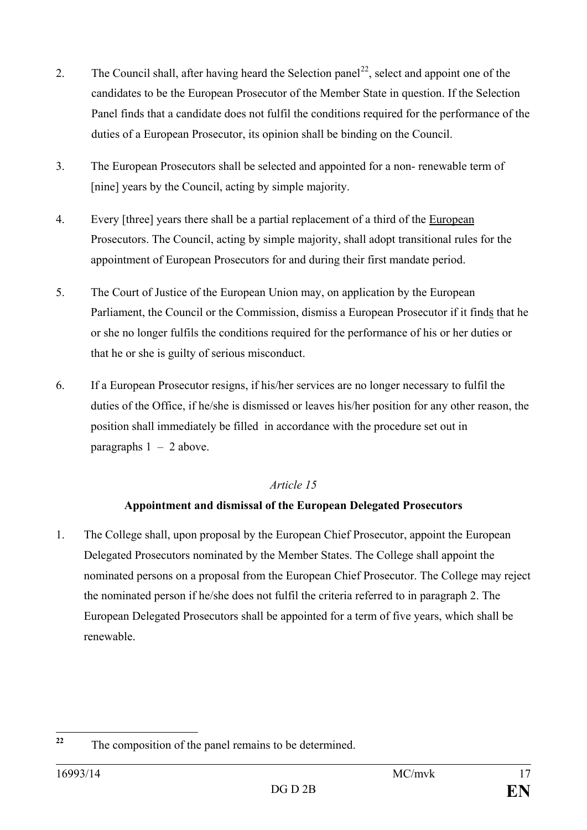- 2. The Council shall, after having heard the Selection panel<sup>[22](#page-16-0)</sup>, select and appoint one of the candidates to be the European Prosecutor of the Member State in question. If the Selection Panel finds that a candidate does not fulfil the conditions required for the performance of the duties of a European Prosecutor, its opinion shall be binding on the Council.
- 3. The European Prosecutors shall be selected and appointed for a non- renewable term of [nine] years by the Council, acting by simple majority.
- 4. Every [three] years there shall be a partial replacement of a third of the European Prosecutors. The Council, acting by simple majority, shall adopt transitional rules for the appointment of European Prosecutors for and during their first mandate period.
- 5. The Court of Justice of the European Union may, on application by the European Parliament, the Council or the Commission, dismiss a European Prosecutor if it finds that he or she no longer fulfils the conditions required for the performance of his or her duties or that he or she is guilty of serious misconduct.
- 6. If a European Prosecutor resigns, if his/her services are no longer necessary to fulfil the duties of the Office, if he/she is dismissed or leaves his/her position for any other reason, the position shall immediately be filled in accordance with the procedure set out in paragraphs  $1 - 2$  above.

#### **Appointment and dismissal of the European Delegated Prosecutors**

1. The College shall, upon proposal by the European Chief Prosecutor, appoint the European Delegated Prosecutors nominated by the Member States. The College shall appoint the nominated persons on a proposal from the European Chief Prosecutor. The College may reject the nominated person if he/she does not fulfil the criteria referred to in paragraph 2. The European Delegated Prosecutors shall be appointed for a term of five years, which shall be renewable.

<span id="page-16-0"></span>**<sup>22</sup>** The composition of the panel remains to be determined.  $22$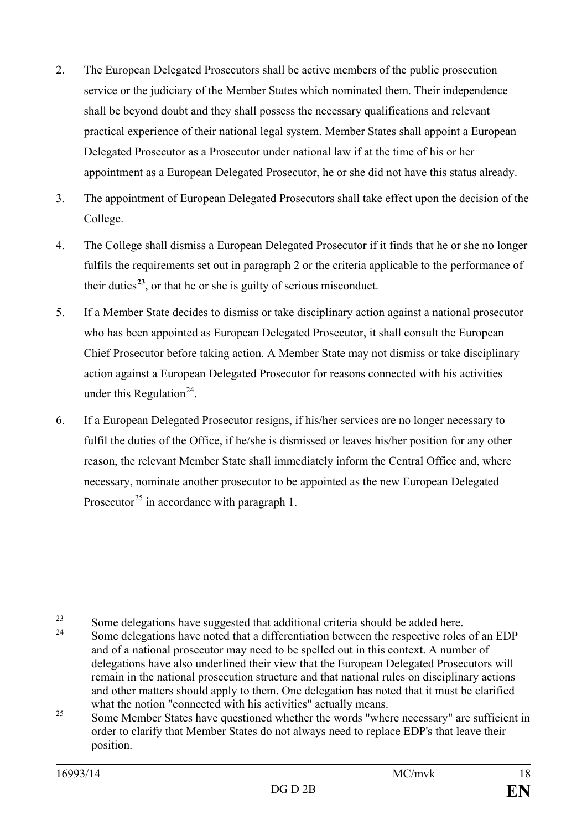- 2. The European Delegated Prosecutors shall be active members of the public prosecution service or the judiciary of the Member States which nominated them. Their independence shall be beyond doubt and they shall possess the necessary qualifications and relevant practical experience of their national legal system. Member States shall appoint a European Delegated Prosecutor as a Prosecutor under national law if at the time of his or her appointment as a European Delegated Prosecutor, he or she did not have this status already.
- 3. The appointment of European Delegated Prosecutors shall take effect upon the decision of the College.
- 4. The College shall dismiss a European Delegated Prosecutor if it finds that he or she no longer fulfils the requirements set out in paragraph 2 or the criteria applicable to the performance of their duties<sup> $23$ </sup>, or that he or she is guilty of serious misconduct.
- 5. If a Member State decides to dismiss or take disciplinary action against a national prosecutor who has been appointed as European Delegated Prosecutor, it shall consult the European Chief Prosecutor before taking action. A Member State may not dismiss or take disciplinary action against a European Delegated Prosecutor for reasons connected with his activities under this Regulation<sup>24</sup>.
- 6. If a European Delegated Prosecutor resigns, if his/her services are no longer necessary to fulfil the duties of the Office, if he/she is dismissed or leaves his/her position for any other reason, the relevant Member State shall immediately inform the Central Office and, where necessary, nominate another prosecutor to be appointed as the new European Delegated Prosecutor<sup>[25](#page-17-2)</sup> in accordance with paragraph 1.

<span id="page-17-0"></span><sup>&</sup>lt;sup>23</sup> Some delegations have suggested that additional criteria should be added here.  $23$ 

<span id="page-17-1"></span><sup>24</sup> Some delegations have noted that a differentiation between the respective roles of an EDP and of a national prosecutor may need to be spelled out in this context. A number of delegations have also underlined their view that the European Delegated Prosecutors will remain in the national prosecution structure and that national rules on disciplinary actions and other matters should apply to them. One delegation has noted that it must be clarified what the notion "connected with his activities" actually means.

<span id="page-17-2"></span><sup>&</sup>lt;sup>25</sup> Some Member States have questioned whether the words "where necessary" are sufficient in order to clarify that Member States do not always need to replace EDP's that leave their position.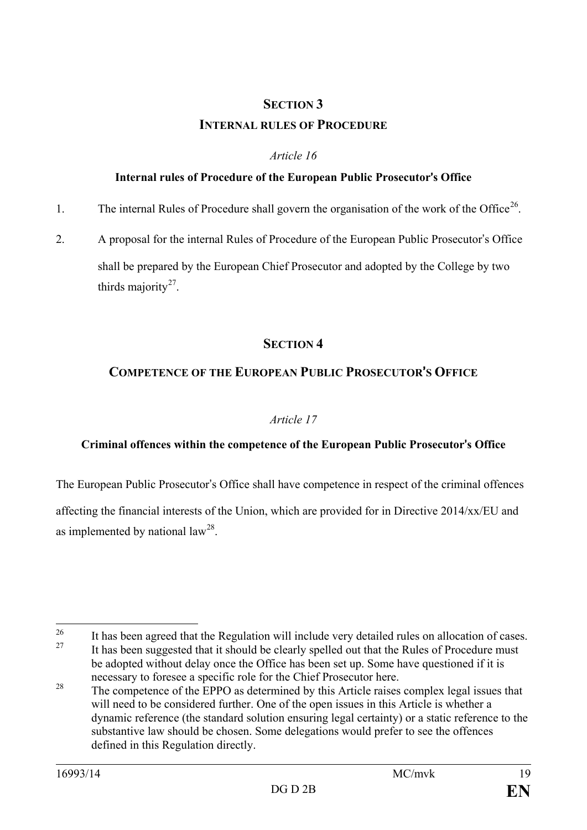### **SECTION 3 INTERNAL RULES OF PROCEDURE**

#### *Article 16*

#### **Internal rules of Procedure of the European Public Prosecutor**'**s Office**

- 1. The internal Rules of Procedure shall govern the organisation of the work of the Office<sup>26</sup>.
- 2. A proposal for the internal Rules of Procedure of the European Public Prosecutor's Office shall be prepared by the European Chief Prosecutor and adopted by the College by two thirds majority $27$ .

#### **SECTION 4**

#### **COMPETENCE OF THE EUROPEAN PUBLIC PROSECUTOR**'**S OFFICE**

#### *Article 17*

#### **Criminal offences within the competence of the European Public Prosecutor**'**s Office**

The European Public Prosecutor's Office shall have competence in respect of the criminal offences

affecting the financial interests of the Union, which are provided for in Directive 2014/xx/EU and as implemented by national  $law^{28}$ .

<span id="page-18-1"></span><span id="page-18-0"></span><sup>&</sup>lt;sup>26</sup> It has been agreed that the Regulation will include very detailed rules on allocation of cases. It has been suggested that it should be clearly spelled out that the Rules of Procedure must be adopted without delay once the Office has been set up. Some have questioned if it is 26

<span id="page-18-2"></span>necessary to foresee a specific role for the Chief Prosecutor here.<br><sup>28</sup> The competence of the EPPO as determined by this Article raises complex legal issues that will need to be considered further. One of the open issues in this Article is whether a dynamic reference (the standard solution ensuring legal certainty) or a static reference to the substantive law should be chosen. Some delegations would prefer to see the offences defined in this Regulation directly.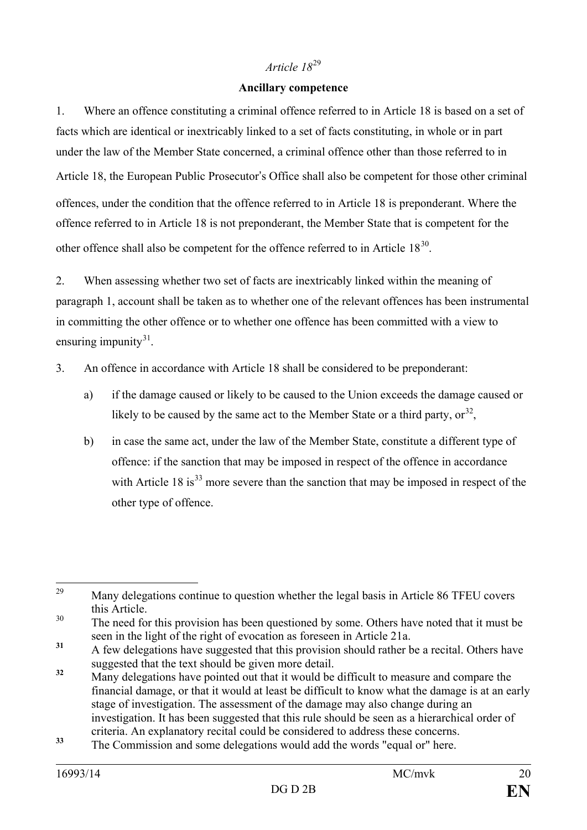#### **Ancillary competence**

1. Where an offence constituting a criminal offence referred to in Article 18 is based on a set of facts which are identical or inextricably linked to a set of facts constituting, in whole or in part under the law of the Member State concerned, a criminal offence other than those referred to in Article 18, the European Public Prosecutor's Office shall also be competent for those other criminal offences, under the condition that the offence referred to in Article 18 is preponderant. Where the offence referred to in Article 18 is not preponderant, the Member State that is competent for the other offence shall also be competent for the offence referred to in Article 18[30](#page-19-1).

2. When assessing whether two set of facts are inextricably linked within the meaning of paragraph 1, account shall be taken as to whether one of the relevant offences has been instrumental in committing the other offence or to whether one offence has been committed with a view to ensuring impunity $31$ .

- 3. An offence in accordance with Article 18 shall be considered to be preponderant:
	- a) if the damage caused or likely to be caused to the Union exceeds the damage caused or likely to be caused by the same act to the Member State or a third party,  $or^{32}$  $or^{32}$  $or^{32}$ ,
	- b) in case the same act, under the law of the Member State, constitute a different type of offence: if the sanction that may be imposed in respect of the offence in accordance with Article 18 is<sup>[33](#page-19-4)</sup> more severe than the sanction that may be imposed in respect of the other type of offence.

<span id="page-19-0"></span>Many delegations continue to question whether the legal basis in Article 86 TFEU covers 29

<span id="page-19-1"></span>this Article.<br>30 The need for this provision has been questioned by some. Others have noted that it must be seen in the light of the right of evocation as foreseen in Article 21a.

<span id="page-19-2"></span><sup>31</sup> A few delegations have suggested that this provision should rather be a recital. Others have suggested that the text should be given more detail.

<span id="page-19-3"></span><sup>&</sup>lt;sup>32</sup> Many delegations have pointed out that it would be difficult to measure and compare the financial damage, or that it would at least be difficult to know what the damage is at an early stage of investigation. The assessment of the damage may also change during an investigation. It has been suggested that this rule should be seen as a hierarchical order of criteria. An explanatory recital could be considered to address these concerns.

<span id="page-19-4"></span>**<sup>33</sup>** The Commission and some delegations would add the words "equal or" here.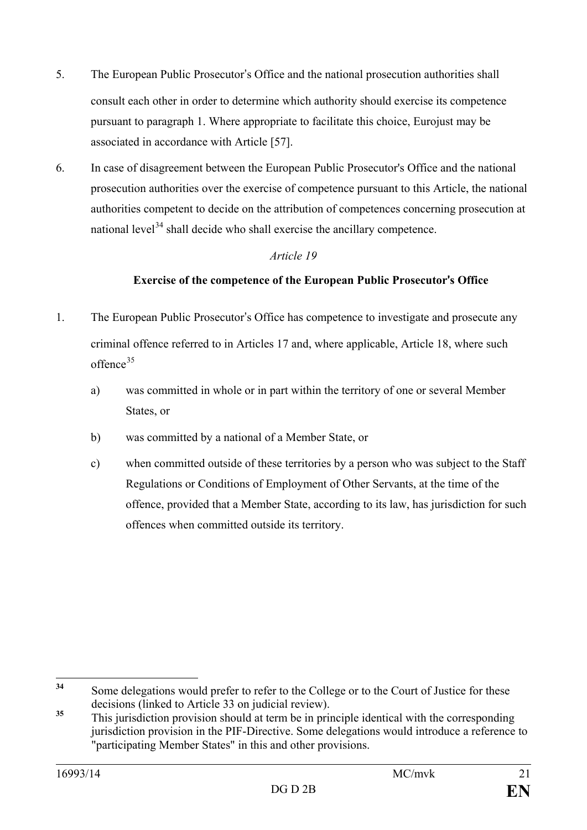- 5. The European Public Prosecutor's Office and the national prosecution authorities shall consult each other in order to determine which authority should exercise its competence pursuant to paragraph 1. Where appropriate to facilitate this choice, Eurojust may be associated in accordance with Article [57].
- 6. In case of disagreement between the European Public Prosecutor's Office and the national prosecution authorities over the exercise of competence pursuant to this Article, the national authorities competent to decide on the attribution of competences concerning prosecution at national level $34$  shall decide who shall exercise the ancillary competence.

#### **Exercise of the competence of the European Public Prosecutor**'**s Office**

- 1. The European Public Prosecutor's Office has competence to investigate and prosecute any criminal offence referred to in Articles 17 and, where applicable, Article 18, where such offence<sup>[35](#page-20-1)</sup>
	- a) was committed in whole or in part within the territory of one or several Member States, or
	- b) was committed by a national of a Member State, or
	- c) when committed outside of these territories by a person who was subject to the Staff Regulations or Conditions of Employment of Other Servants, at the time of the offence, provided that a Member State, according to its law, has jurisdiction for such offences when committed outside its territory.

<span id="page-20-0"></span>**<sup>34</sup>** Some delegations would prefer to refer to the College or to the Court of Justice for these decisions (linked to Article 33 on judicial review).  $34$ 

<span id="page-20-1"></span><sup>&</sup>lt;sup>35</sup> This jurisdiction provision should at term be in principle identical with the corresponding jurisdiction provision in the PIF-Directive. Some delegations would introduce a reference to "participating Member States" in this and other provisions.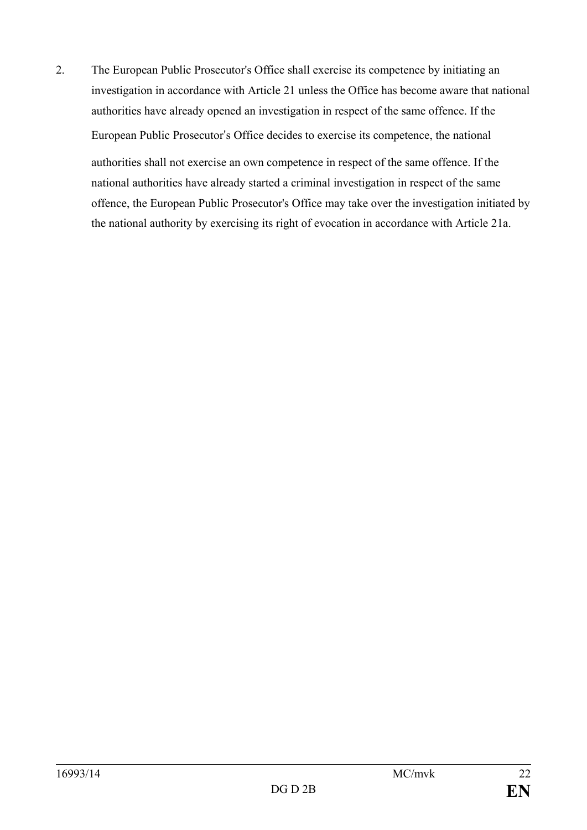2. The European Public Prosecutor's Office shall exercise its competence by initiating an investigation in accordance with Article 21 unless the Office has become aware that national authorities have already opened an investigation in respect of the same offence. If the European Public Prosecutor's Office decides to exercise its competence, the national authorities shall not exercise an own competence in respect of the same offence. If the national authorities have already started a criminal investigation in respect of the same offence, the European Public Prosecutor's Office may take over the investigation initiated by the national authority by exercising its right of evocation in accordance with Article 21a.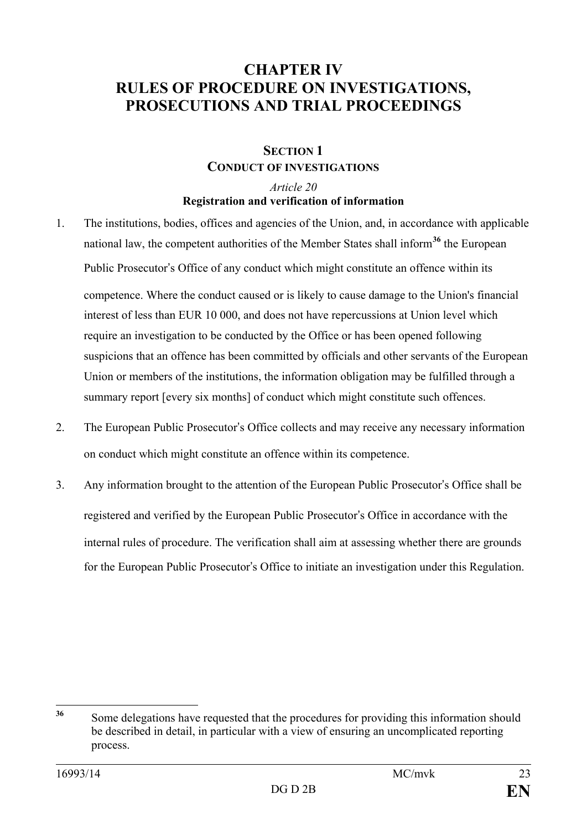### **CHAPTER IV RULES OF PROCEDURE ON INVESTIGATIONS, PROSECUTIONS AND TRIAL PROCEEDINGS**

#### **SECTION 1 CONDUCT OF INVESTIGATIONS**

#### *Article 20* **Registration and verification of information**

- 1. The institutions, bodies, offices and agencies of the Union, and, in accordance with applicable national law, the competent authorities of the Member States shall inform**[36](#page-22-0)** the European Public Prosecutor's Office of any conduct which might constitute an offence within its competence. Where the conduct caused or is likely to cause damage to the Union's financial interest of less than EUR 10 000, and does not have repercussions at Union level which require an investigation to be conducted by the Office or has been opened following suspicions that an offence has been committed by officials and other servants of the European Union or members of the institutions, the information obligation may be fulfilled through a summary report [every six months] of conduct which might constitute such offences.
- 2. The European Public Prosecutor's Office collects and may receive any necessary information on conduct which might constitute an offence within its competence.
- 3. Any information brought to the attention of the European Public Prosecutor's Office shall be registered and verified by the European Public Prosecutor's Office in accordance with the internal rules of procedure. The verification shall aim at assessing whether there are grounds for the European Public Prosecutor's Office to initiate an investigation under this Regulation.

<span id="page-22-0"></span>**<sup>36</sup>** Some delegations have requested that the procedures for providing this information should be described in detail, in particular with a view of ensuring an uncomplicated reporting process. 36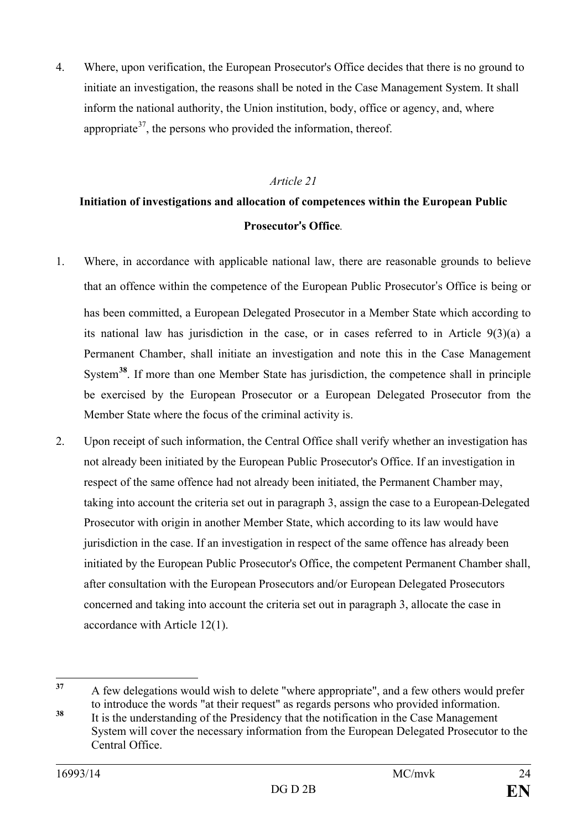4. Where, upon verification, the European Prosecutor's Office decides that there is no ground to initiate an investigation, the reasons shall be noted in the Case Management System. It shall inform the national authority, the Union institution, body, office or agency, and, where appropriate<sup>[37](#page-23-0)</sup>, the persons who provided the information, thereof.

#### *Article 21*

### **Initiation of investigations and allocation of competences within the European Public Prosecutor**'**s Office***.*

- 1. Where, in accordance with applicable national law, there are reasonable grounds to believe that an offence within the competence of the European Public Prosecutor's Office is being or has been committed, a European Delegated Prosecutor in a Member State which according to its national law has jurisdiction in the case, or in cases referred to in Article 9(3)(a) a Permanent Chamber, shall initiate an investigation and note this in the Case Management System**[38](#page-23-1)**. If more than one Member State has jurisdiction, the competence shall in principle be exercised by the European Prosecutor or a European Delegated Prosecutor from the Member State where the focus of the criminal activity is.
- 2. Upon receipt of such information, the Central Office shall verify whether an investigation has not already been initiated by the European Public Prosecutor's Office. If an investigation in respect of the same offence had not already been initiated, the Permanent Chamber may, taking into account the criteria set out in paragraph 3, assign the case to a European Delegated Prosecutor with origin in another Member State, which according to its law would have jurisdiction in the case. If an investigation in respect of the same offence has already been initiated by the European Public Prosecutor's Office, the competent Permanent Chamber shall, after consultation with the European Prosecutors and/or European Delegated Prosecutors concerned and taking into account the criteria set out in paragraph 3, allocate the case in accordance with Article 12(1).

<span id="page-23-0"></span>**<sup>37</sup>** A few delegations would wish to delete "where appropriate", and a few others would prefer to introduce the words "at their request" as regards persons who provided information.<br><sup>38</sup> It is the understanding of the Presidency that the notification in the Case Management  $37$ 

<span id="page-23-1"></span>System will cover the necessary information from the European Delegated Prosecutor to the Central Office.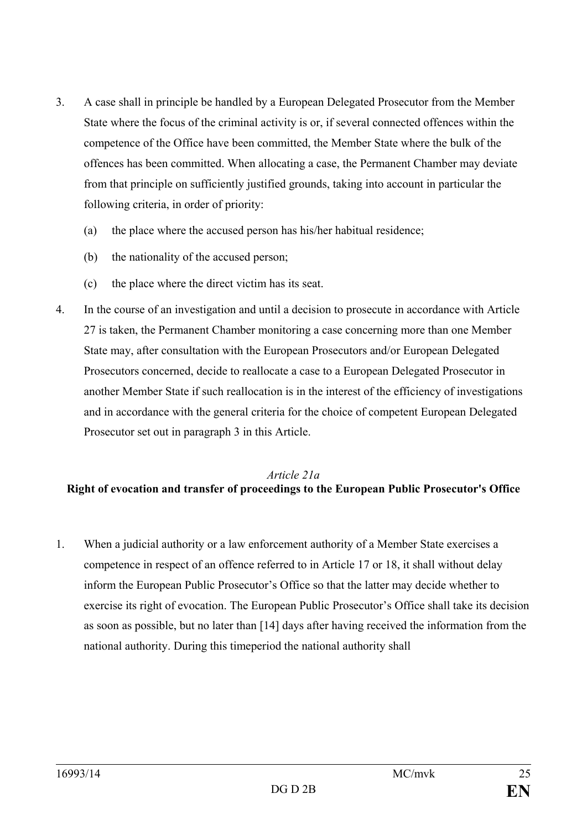- 3. A case shall in principle be handled by a European Delegated Prosecutor from the Member State where the focus of the criminal activity is or, if several connected offences within the competence of the Office have been committed, the Member State where the bulk of the offences has been committed. When allocating a case, the Permanent Chamber may deviate from that principle on sufficiently justified grounds, taking into account in particular the following criteria, in order of priority:
	- (a) the place where the accused person has his/her habitual residence;
	- (b) the nationality of the accused person;
	- (c) the place where the direct victim has its seat.
- 4. In the course of an investigation and until a decision to prosecute in accordance with Article 27 is taken, the Permanent Chamber monitoring a case concerning more than one Member State may, after consultation with the European Prosecutors and/or European Delegated Prosecutors concerned, decide to reallocate a case to a European Delegated Prosecutor in another Member State if such reallocation is in the interest of the efficiency of investigations and in accordance with the general criteria for the choice of competent European Delegated Prosecutor set out in paragraph 3 in this Article.

#### *Article 21a* **Right of evocation and transfer of proceedings to the European Public Prosecutor's Office**

1. When a judicial authority or a law enforcement authority of a Member State exercises a competence in respect of an offence referred to in Article 17 or 18, it shall without delay inform the European Public Prosecutor's Office so that the latter may decide whether to exercise its right of evocation. The European Public Prosecutor's Office shall take its decision as soon as possible, but no later than [14] days after having received the information from the national authority. During this timeperiod the national authority shall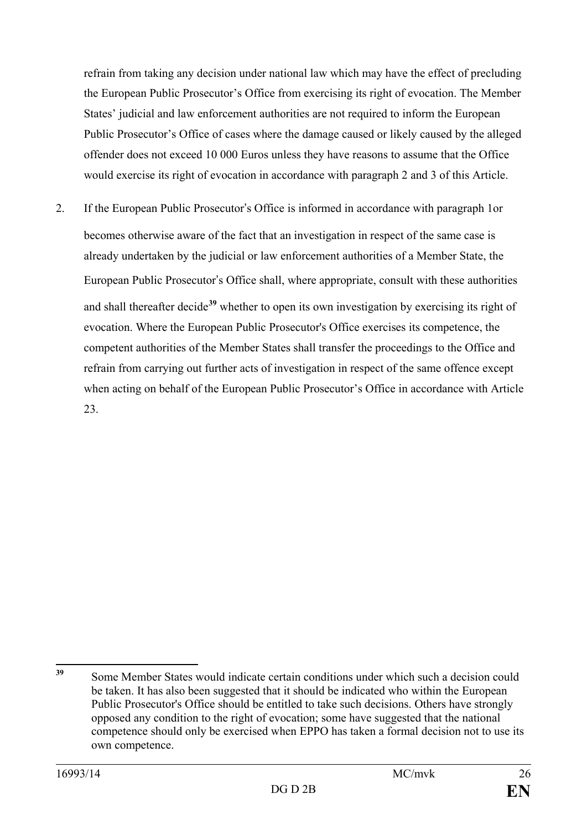refrain from taking any decision under national law which may have the effect of precluding the European Public Prosecutor's Office from exercising its right of evocation. The Member States' judicial and law enforcement authorities are not required to inform the European Public Prosecutor's Office of cases where the damage caused or likely caused by the alleged offender does not exceed 10 000 Euros unless they have reasons to assume that the Office would exercise its right of evocation in accordance with paragraph 2 and 3 of this Article.

2. If the European Public Prosecutor's Office is informed in accordance with paragraph 1or becomes otherwise aware of the fact that an investigation in respect of the same case is already undertaken by the judicial or law enforcement authorities of a Member State, the European Public Prosecutor's Office shall, where appropriate, consult with these authorities and shall thereafter decide**[39](#page-25-0)** whether to open its own investigation by exercising its right of evocation. Where the European Public Prosecutor's Office exercises its competence, the competent authorities of the Member States shall transfer the proceedings to the Office and refrain from carrying out further acts of investigation in respect of the same offence except when acting on behalf of the European Public Prosecutor's Office in accordance with Article 23.

<span id="page-25-0"></span>**<sup>39</sup>** Some Member States would indicate certain conditions under which such a decision could be taken. It has also been suggested that it should be indicated who within the European Public Prosecutor's Office should be entitled to take such decisions. Others have strongly opposed any condition to the right of evocation; some have suggested that the national competence should only be exercised when EPPO has taken a formal decision not to use its own competence. 39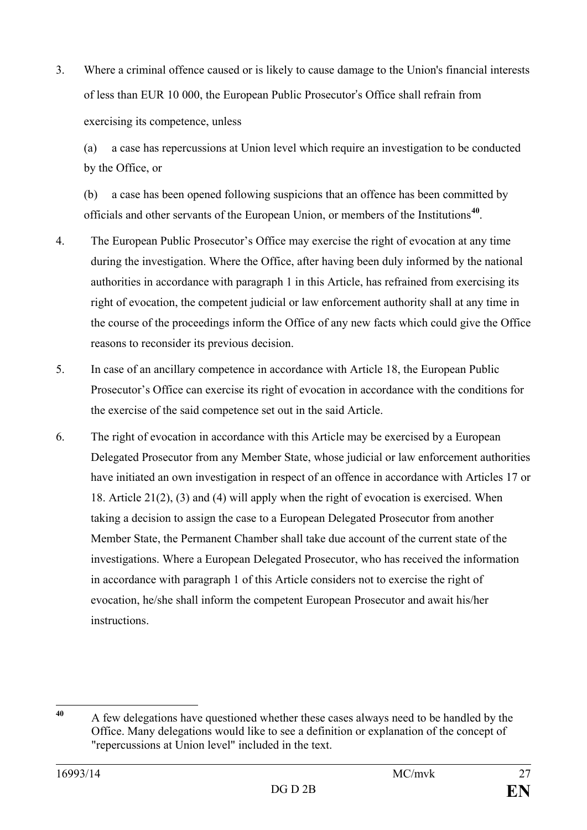3. Where a criminal offence caused or is likely to cause damage to the Union's financial interests of less than EUR 10 000, the European Public Prosecutor's Office shall refrain from exercising its competence, unless

(a) a case has repercussions at Union level which require an investigation to be conducted by the Office, or

(b) a case has been opened following suspicions that an offence has been committed by officials and other servants of the European Union, or members of the Institutions**[40](#page-26-0)**.

- 4. The European Public Prosecutor's Office may exercise the right of evocation at any time during the investigation. Where the Office, after having been duly informed by the national authorities in accordance with paragraph 1 in this Article, has refrained from exercising its right of evocation, the competent judicial or law enforcement authority shall at any time in the course of the proceedings inform the Office of any new facts which could give the Office reasons to reconsider its previous decision.
- 5. In case of an ancillary competence in accordance with Article 18, the European Public Prosecutor's Office can exercise its right of evocation in accordance with the conditions for the exercise of the said competence set out in the said Article.
- 6. The right of evocation in accordance with this Article may be exercised by a European Delegated Prosecutor from any Member State, whose judicial or law enforcement authorities have initiated an own investigation in respect of an offence in accordance with Articles 17 or 18. Article 21(2), (3) and (4) will apply when the right of evocation is exercised. When taking a decision to assign the case to a European Delegated Prosecutor from another Member State, the Permanent Chamber shall take due account of the current state of the investigations. Where a European Delegated Prosecutor, who has received the information in accordance with paragraph 1 of this Article considers not to exercise the right of evocation, he/she shall inform the competent European Prosecutor and await his/her instructions.

<span id="page-26-0"></span>**<sup>40</sup>** A few delegations have questioned whether these cases always need to be handled by the Office. Many delegations would like to see a definition or explanation of the concept of "repercussions at Union level" included in the text. 40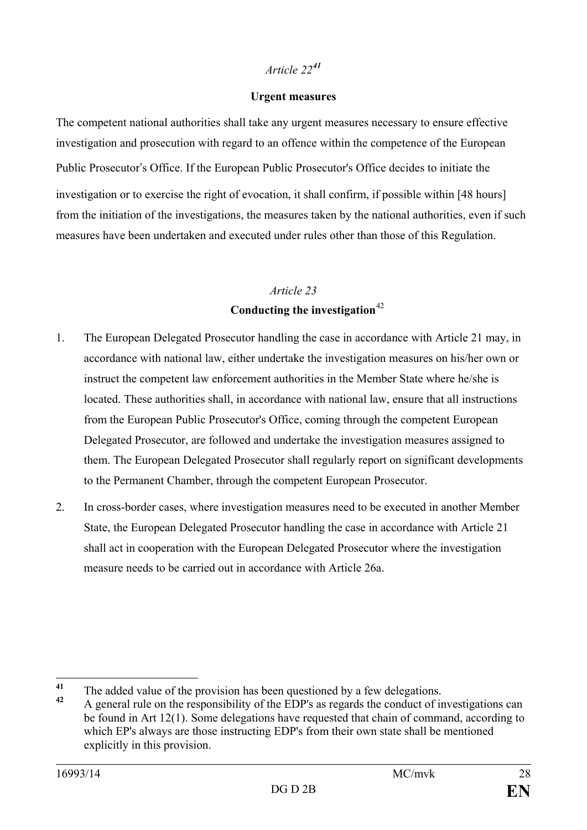#### **Urgent measures**

The competent national authorities shall take any urgent measures necessary to ensure effective investigation and prosecution with regard to an offence within the competence of the European Public Prosecutor's Office. If the European Public Prosecutor's Office decides to initiate the investigation or to exercise the right of evocation, it shall confirm, if possible within [48 hours] from the initiation of the investigations, the measures taken by the national authorities, even if such measures have been undertaken and executed under rules other than those of this Regulation.

### *Article 23* **Conducting the investigation**[42](#page-27-1)

- 1. The European Delegated Prosecutor handling the case in accordance with Article 21 may, in accordance with national law, either undertake the investigation measures on his/her own or instruct the competent law enforcement authorities in the Member State where he/she is located. These authorities shall, in accordance with national law, ensure that all instructions from the European Public Prosecutor's Office, coming through the competent European Delegated Prosecutor, are followed and undertake the investigation measures assigned to them. The European Delegated Prosecutor shall regularly report on significant developments to the Permanent Chamber, through the competent European Prosecutor.
- 2. In cross-border cases, where investigation measures need to be executed in another Member State, the European Delegated Prosecutor handling the case in accordance with Article 21 shall act in cooperation with the European Delegated Prosecutor where the investigation measure needs to be carried out in accordance with Article 26a.

<span id="page-27-0"></span><sup>&</sup>lt;sup>41</sup> The added value of the provision has been questioned by a few delegations.  $\overline{41}$ 

<span id="page-27-1"></span>**<sup>42</sup>** A general rule on the responsibility of the EDP's as regards the conduct of investigations can be found in Art 12(1). Some delegations have requested that chain of command, according to which EP's always are those instructing EDP's from their own state shall be mentioned explicitly in this provision.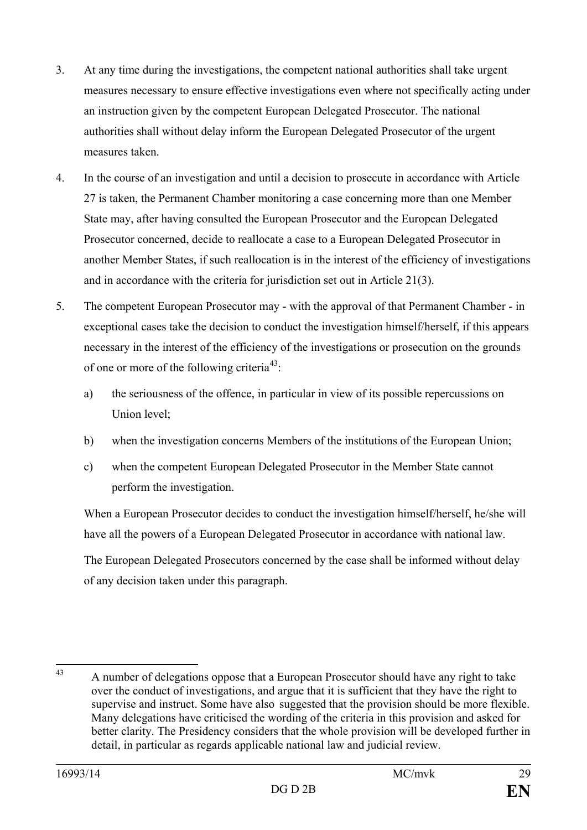- 3. At any time during the investigations, the competent national authorities shall take urgent measures necessary to ensure effective investigations even where not specifically acting under an instruction given by the competent European Delegated Prosecutor. The national authorities shall without delay inform the European Delegated Prosecutor of the urgent measures taken.
- 4. In the course of an investigation and until a decision to prosecute in accordance with Article 27 is taken, the Permanent Chamber monitoring a case concerning more than one Member State may, after having consulted the European Prosecutor and the European Delegated Prosecutor concerned, decide to reallocate a case to a European Delegated Prosecutor in another Member States, if such reallocation is in the interest of the efficiency of investigations and in accordance with the criteria for jurisdiction set out in Article 21(3).
- 5. The competent European Prosecutor may with the approval of that Permanent Chamber in exceptional cases take the decision to conduct the investigation himself/herself, if this appears necessary in the interest of the efficiency of the investigations or prosecution on the grounds of one or more of the following criteria<sup>43</sup>:
	- a) the seriousness of the offence, in particular in view of its possible repercussions on Union level;
	- b) when the investigation concerns Members of the institutions of the European Union;
	- c) when the competent European Delegated Prosecutor in the Member State cannot perform the investigation.

When a European Prosecutor decides to conduct the investigation himself/herself, he/she will have all the powers of a European Delegated Prosecutor in accordance with national law.

The European Delegated Prosecutors concerned by the case shall be informed without delay of any decision taken under this paragraph.

<span id="page-28-0"></span><sup>43</sup> A number of delegations oppose that a European Prosecutor should have any right to take over the conduct of investigations, and argue that it is sufficient that they have the right to supervise and instruct. Some have also suggested that the provision should be more flexible. Many delegations have criticised the wording of the criteria in this provision and asked for better clarity. The Presidency considers that the whole provision will be developed further in detail, in particular as regards applicable national law and judicial review.  $43$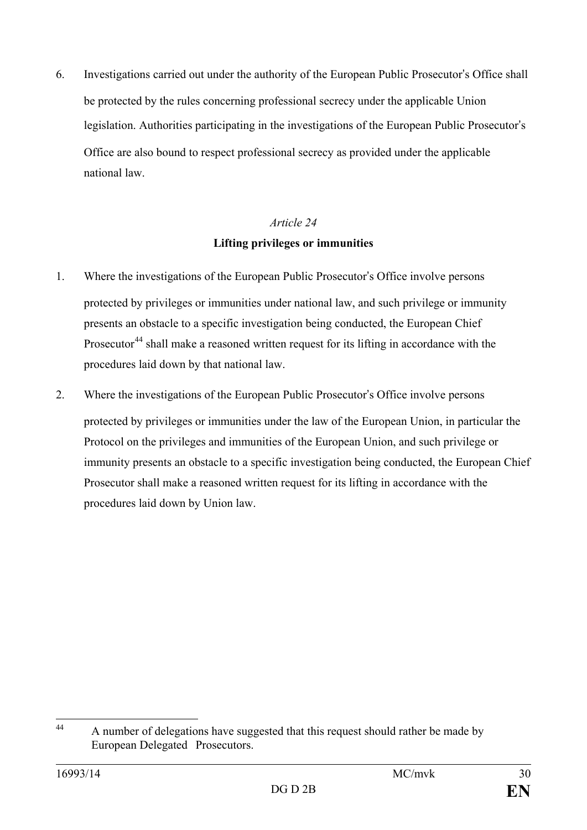6. Investigations carried out under the authority of the European Public Prosecutor's Office shall be protected by the rules concerning professional secrecy under the applicable Union legislation. Authorities participating in the investigations of the European Public Prosecutor's Office are also bound to respect professional secrecy as provided under the applicable national law.

### *Article 24* **Lifting privileges or immunities**

- 1. Where the investigations of the European Public Prosecutor's Office involve persons protected by privileges or immunities under national law, and such privilege or immunity presents an obstacle to a specific investigation being conducted, the European Chief Prosecutor<sup>[44](#page-29-0)</sup> shall make a reasoned written request for its lifting in accordance with the procedures laid down by that national law.
- 2. Where the investigations of the European Public Prosecutor's Office involve persons protected by privileges or immunities under the law of the European Union, in particular the Protocol on the privileges and immunities of the European Union, and such privilege or immunity presents an obstacle to a specific investigation being conducted, the European Chief Prosecutor shall make a reasoned written request for its lifting in accordance with the procedures laid down by Union law.

<span id="page-29-0"></span>A number of delegations have suggested that this request should rather be made by European Delegated Prosecutors. 44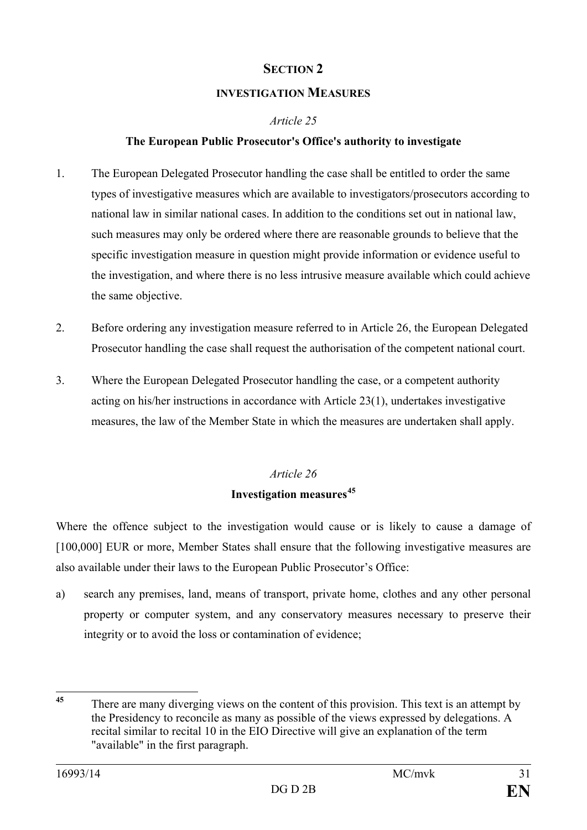#### **SECTION 2**

#### **INVESTIGATION MEASURES**

#### *Article 25*

#### **The European Public Prosecutor's Office's authority to investigate**

- 1. The European Delegated Prosecutor handling the case shall be entitled to order the same types of investigative measures which are available to investigators/prosecutors according to national law in similar national cases. In addition to the conditions set out in national law, such measures may only be ordered where there are reasonable grounds to believe that the specific investigation measure in question might provide information or evidence useful to the investigation, and where there is no less intrusive measure available which could achieve the same objective.
- 2. Before ordering any investigation measure referred to in Article 26, the European Delegated Prosecutor handling the case shall request the authorisation of the competent national court.
- 3. Where the European Delegated Prosecutor handling the case, or a competent authority acting on his/her instructions in accordance with Article 23(1), undertakes investigative measures, the law of the Member State in which the measures are undertaken shall apply.

### *Article 26* **Investigation measures[45](#page-30-0)**

Where the offence subject to the investigation would cause or is likely to cause a damage of [100,000] EUR or more, Member States shall ensure that the following investigative measures are also available under their laws to the European Public Prosecutor's Office:

a) search any premises, land, means of transport, private home, clothes and any other personal property or computer system, and any conservatory measures necessary to preserve their integrity or to avoid the loss or contamination of evidence;

<span id="page-30-0"></span>There are many diverging views on the content of this provision. This text is an attempt by the Presidency to reconcile as many as possible of the views expressed by delegations. A recital similar to recital 10 in the EIO Directive will give an explanation of the term "available" in the first paragraph. 45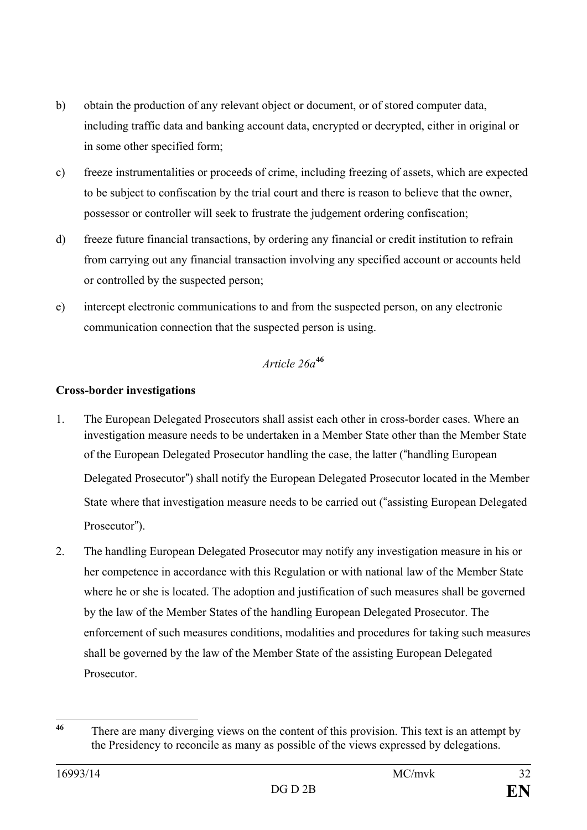- b) obtain the production of any relevant object or document, or of stored computer data, including traffic data and banking account data, encrypted or decrypted, either in original or in some other specified form;
- c) freeze instrumentalities or proceeds of crime, including freezing of assets, which are expected to be subject to confiscation by the trial court and there is reason to believe that the owner, possessor or controller will seek to frustrate the judgement ordering confiscation;
- d) freeze future financial transactions, by ordering any financial or credit institution to refrain from carrying out any financial transaction involving any specified account or accounts held or controlled by the suspected person;
- e) intercept electronic communications to and from the suspected person, on any electronic communication connection that the suspected person is using.

#### *Article 26a***[46](#page-31-0)**

#### **Cross-border investigations**

- 1. The European Delegated Prosecutors shall assist each other in cross-border cases. Where an investigation measure needs to be undertaken in a Member State other than the Member State of the European Delegated Prosecutor handling the case, the latter ("handling European Delegated Prosecutor") shall notify the European Delegated Prosecutor located in the Member State where that investigation measure needs to be carried out ("assisting European Delegated Prosecutor").
- 2. The handling European Delegated Prosecutor may notify any investigation measure in his or her competence in accordance with this Regulation or with national law of the Member State where he or she is located. The adoption and justification of such measures shall be governed by the law of the Member States of the handling European Delegated Prosecutor. The enforcement of such measures conditions, modalities and procedures for taking such measures shall be governed by the law of the Member State of the assisting European Delegated Prosecutor.

<span id="page-31-0"></span>There are many diverging views on the content of this provision. This text is an attempt by the Presidency to reconcile as many as possible of the views expressed by delegations.  $46$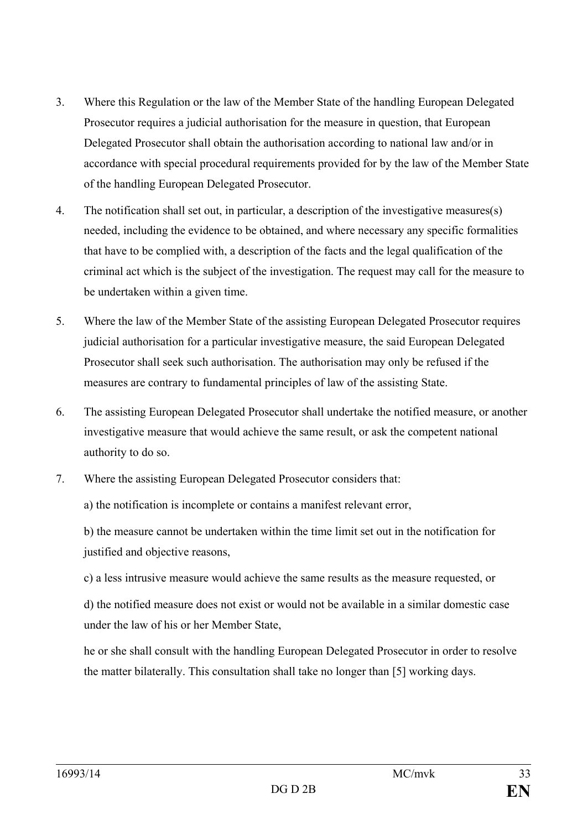- 3. Where this Regulation or the law of the Member State of the handling European Delegated Prosecutor requires a judicial authorisation for the measure in question, that European Delegated Prosecutor shall obtain the authorisation according to national law and/or in accordance with special procedural requirements provided for by the law of the Member State of the handling European Delegated Prosecutor.
- 4. The notification shall set out, in particular, a description of the investigative measures(s) needed, including the evidence to be obtained, and where necessary any specific formalities that have to be complied with, a description of the facts and the legal qualification of the criminal act which is the subject of the investigation. The request may call for the measure to be undertaken within a given time.
- 5. Where the law of the Member State of the assisting European Delegated Prosecutor requires judicial authorisation for a particular investigative measure, the said European Delegated Prosecutor shall seek such authorisation. The authorisation may only be refused if the measures are contrary to fundamental principles of law of the assisting State.
- 6. The assisting European Delegated Prosecutor shall undertake the notified measure, or another investigative measure that would achieve the same result, or ask the competent national authority to do so.
- 7. Where the assisting European Delegated Prosecutor considers that:

a) the notification is incomplete or contains a manifest relevant error,

b) the measure cannot be undertaken within the time limit set out in the notification for justified and objective reasons,

c) a less intrusive measure would achieve the same results as the measure requested, or

d) the notified measure does not exist or would not be available in a similar domestic case under the law of his or her Member State,

he or she shall consult with the handling European Delegated Prosecutor in order to resolve the matter bilaterally. This consultation shall take no longer than [5] working days.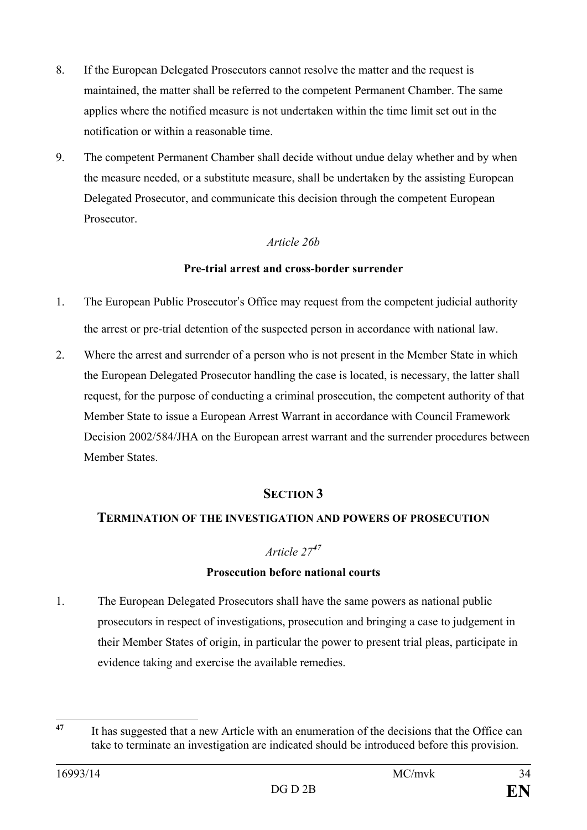- 8. If the European Delegated Prosecutors cannot resolve the matter and the request is maintained, the matter shall be referred to the competent Permanent Chamber. The same applies where the notified measure is not undertaken within the time limit set out in the notification or within a reasonable time.
- 9. The competent Permanent Chamber shall decide without undue delay whether and by when the measure needed, or a substitute measure, shall be undertaken by the assisting European Delegated Prosecutor, and communicate this decision through the competent European **Prosecutor**

#### *Article 26b*

#### **Pre-trial arrest and cross-border surrender**

- 1. The European Public Prosecutor's Office may request from the competent judicial authority the arrest or pre-trial detention of the suspected person in accordance with national law.
- 2. Where the arrest and surrender of a person who is not present in the Member State in which the European Delegated Prosecutor handling the case is located, is necessary, the latter shall request, for the purpose of conducting a criminal prosecution, the competent authority of that Member State to issue a European Arrest Warrant in accordance with Council Framework Decision 2002/584/JHA on the European arrest warrant and the surrender procedures between Member States.

#### **SECTION 3**

#### **TERMINATION OF THE INVESTIGATION AND POWERS OF PROSECUTION**

#### *Article 27[47](#page-33-0)*

#### **Prosecution before national courts**

1. The European Delegated Prosecutors shall have the same powers as national public prosecutors in respect of investigations, prosecution and bringing a case to judgement in their Member States of origin, in particular the power to present trial pleas, participate in evidence taking and exercise the available remedies.

<span id="page-33-0"></span>**<sup>47</sup>** It has suggested that a new Article with an enumeration of the decisions that the Office can take to terminate an investigation are indicated should be introduced before this provision. 47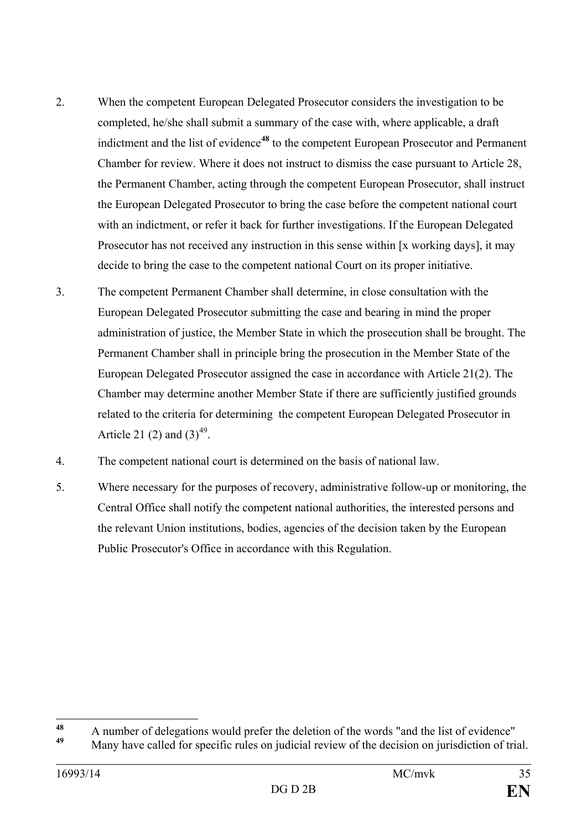- 2. When the competent European Delegated Prosecutor considers the investigation to be completed, he/she shall submit a summary of the case with, where applicable, a draft indictment and the list of evidence<sup>[48](#page-34-0)</sup> to the competent European Prosecutor and Permanent Chamber for review. Where it does not instruct to dismiss the case pursuant to Article 28, the Permanent Chamber, acting through the competent European Prosecutor, shall instruct the European Delegated Prosecutor to bring the case before the competent national court with an indictment, or refer it back for further investigations. If the European Delegated Prosecutor has not received any instruction in this sense within [x working days], it may decide to bring the case to the competent national Court on its proper initiative.
- 3. The competent Permanent Chamber shall determine, in close consultation with the European Delegated Prosecutor submitting the case and bearing in mind the proper administration of justice, the Member State in which the prosecution shall be brought. The Permanent Chamber shall in principle bring the prosecution in the Member State of the European Delegated Prosecutor assigned the case in accordance with Article 21(2). The Chamber may determine another Member State if there are sufficiently justified grounds related to the criteria for determining the competent European Delegated Prosecutor in Article 21 (2) and  $(3)^{49}$  $(3)^{49}$  $(3)^{49}$ .
- 4. The competent national court is determined on the basis of national law.
- 5. Where necessary for the purposes of recovery, administrative follow-up or monitoring, the Central Office shall notify the competent national authorities, the interested persons and the relevant Union institutions, bodies, agencies of the decision taken by the European Public Prosecutor's Office in accordance with this Regulation.

<span id="page-34-0"></span><sup>&</sup>lt;sup>48</sup> A number of delegations would prefer the deletion of the words "and the list of evidence" 48

<span id="page-34-1"></span>**<sup>49</sup>** Many have called for specific rules on judicial review of the decision on jurisdiction of trial.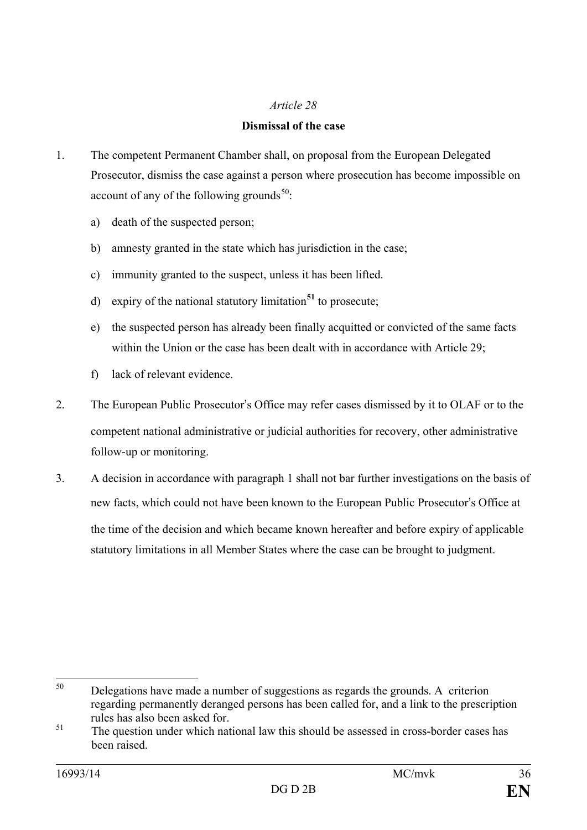#### **Dismissal of the case**

- 1. The competent Permanent Chamber shall, on proposal from the European Delegated Prosecutor, dismiss the case against a person where prosecution has become impossible on account of any of the following grounds<sup>[50](#page-35-0)</sup>:
	- a) death of the suspected person;
	- b) amnesty granted in the state which has jurisdiction in the case;
	- c) immunity granted to the suspect, unless it has been lifted.
	- d) expiry of the national statutory limitation**[51](#page-35-1)** to prosecute;
	- e) the suspected person has already been finally acquitted or convicted of the same facts within the Union or the case has been dealt with in accordance with Article 29;
	- f) lack of relevant evidence.
- 2. The European Public Prosecutor's Office may refer cases dismissed by it to OLAF or to the competent national administrative or judicial authorities for recovery, other administrative follow-up or monitoring.
- 3. A decision in accordance with paragraph 1 shall not bar further investigations on the basis of new facts, which could not have been known to the European Public Prosecutor's Office at the time of the decision and which became known hereafter and before expiry of applicable statutory limitations in all Member States where the case can be brought to judgment.

<span id="page-35-0"></span><sup>50</sup> Delegations have made a number of suggestions as regards the grounds. A criterion regarding permanently deranged persons has been called for, and a link to the prescription rules has also been asked for.<br>The question under which national law this should be assessed in cross-border cases has 50

<span id="page-35-1"></span>been raised.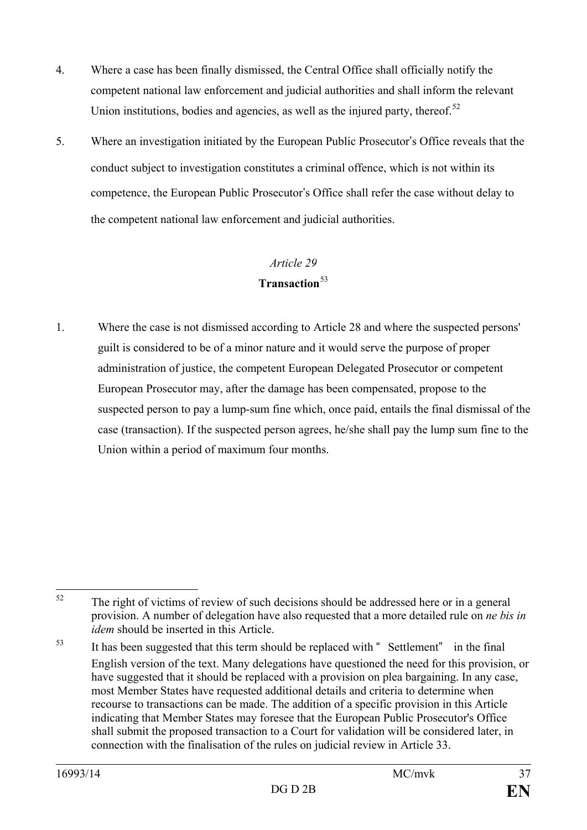- 4. Where a case has been finally dismissed, the Central Office shall officially notify the competent national law enforcement and judicial authorities and shall inform the relevant Union institutions, bodies and agencies, as well as the injured party, thereof.<sup>52</sup>
- 5. Where an investigation initiated by the European Public Prosecutor's Office reveals that the conduct subject to investigation constitutes a criminal offence, which is not within its competence, the European Public Prosecutor's Office shall refer the case without delay to the competent national law enforcement and judicial authorities.

#### **Transaction**[53](#page-36-1)

1. Where the case is not dismissed according to Article 28 and where the suspected persons' guilt is considered to be of a minor nature and it would serve the purpose of proper administration of justice, the competent European Delegated Prosecutor or competent European Prosecutor may, after the damage has been compensated, propose to the suspected person to pay a lump-sum fine which, once paid, entails the final dismissal of the case (transaction). If the suspected person agrees, he/she shall pay the lump sum fine to the Union within a period of maximum four months.

<span id="page-36-0"></span>The right of victims of review of such decisions should be addressed here or in a general provision. A number of delegation have also requested that a more detailed rule on *ne bis in idem* should be inserted in this Article. 52

<span id="page-36-1"></span><sup>&</sup>lt;sup>53</sup> It has been suggested that this term should be replaced with "Settlement" in the final English version of the text. Many delegations have questioned the need for this provision, or have suggested that it should be replaced with a provision on plea bargaining. In any case, most Member States have requested additional details and criteria to determine when recourse to transactions can be made. The addition of a specific provision in this Article indicating that Member States may foresee that the European Public Prosecutor's Office shall submit the proposed transaction to a Court for validation will be considered later, in connection with the finalisation of the rules on judicial review in Article 33.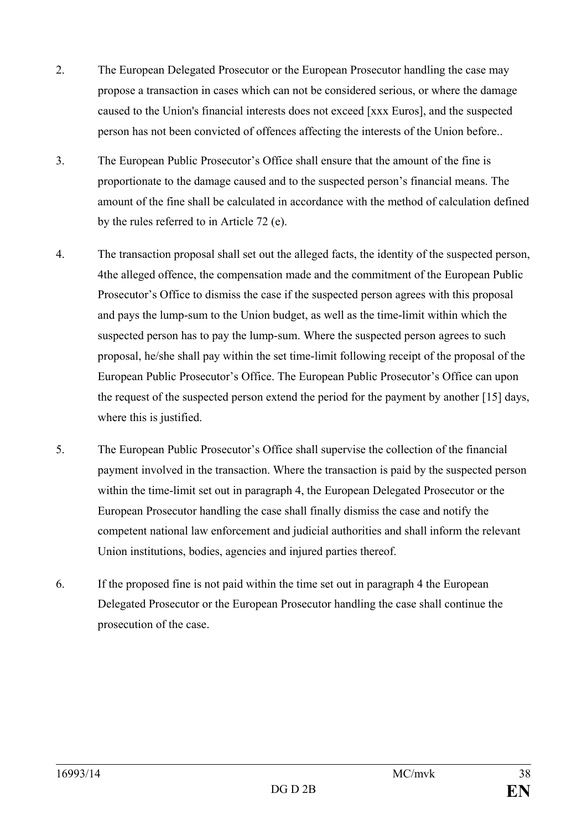- 2. The European Delegated Prosecutor or the European Prosecutor handling the case may propose a transaction in cases which can not be considered serious, or where the damage caused to the Union's financial interests does not exceed [xxx Euros], and the suspected person has not been convicted of offences affecting the interests of the Union before..
- 3. The European Public Prosecutor's Office shall ensure that the amount of the fine is proportionate to the damage caused and to the suspected person's financial means. The amount of the fine shall be calculated in accordance with the method of calculation defined by the rules referred to in Article 72 (e).
- 4. The transaction proposal shall set out the alleged facts, the identity of the suspected person, 4the alleged offence, the compensation made and the commitment of the European Public Prosecutor's Office to dismiss the case if the suspected person agrees with this proposal and pays the lump-sum to the Union budget, as well as the time-limit within which the suspected person has to pay the lump-sum. Where the suspected person agrees to such proposal, he/she shall pay within the set time-limit following receipt of the proposal of the European Public Prosecutor's Office. The European Public Prosecutor's Office can upon the request of the suspected person extend the period for the payment by another [15] days, where this is justified.
- 5. The European Public Prosecutor's Office shall supervise the collection of the financial payment involved in the transaction. Where the transaction is paid by the suspected person within the time-limit set out in paragraph 4, the European Delegated Prosecutor or the European Prosecutor handling the case shall finally dismiss the case and notify the competent national law enforcement and judicial authorities and shall inform the relevant Union institutions, bodies, agencies and injured parties thereof.
- 6. If the proposed fine is not paid within the time set out in paragraph 4 the European Delegated Prosecutor or the European Prosecutor handling the case shall continue the prosecution of the case.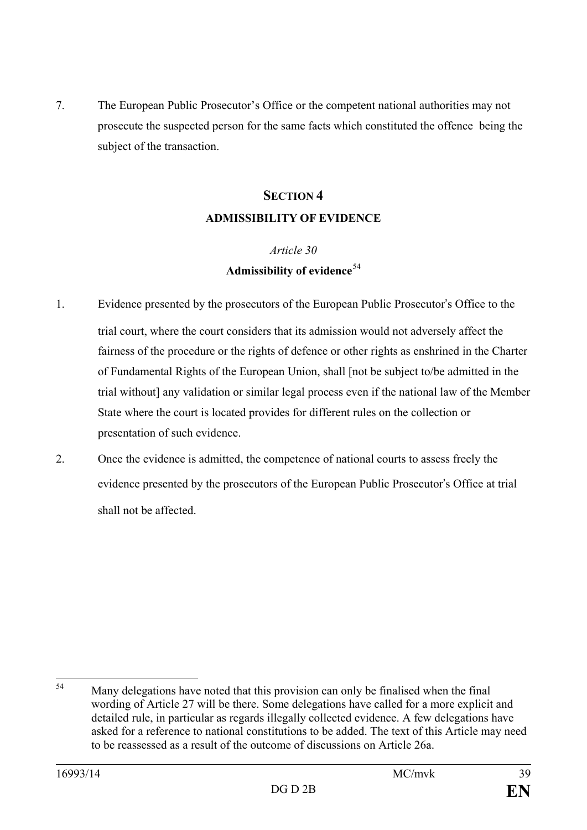7. The European Public Prosecutor's Office or the competent national authorities may not prosecute the suspected person for the same facts which constituted the offence being the subject of the transaction.

### **SECTION 4 ADMISSIBILITY OF EVIDENCE**

#### *Article 30* **Admissibility of evidence**[54](#page-38-0)

- 1. Evidence presented by the prosecutors of the European Public Prosecutor's Office to the trial court, where the court considers that its admission would not adversely affect the fairness of the procedure or the rights of defence or other rights as enshrined in the Charter of Fundamental Rights of the European Union, shall [not be subject to/be admitted in the trial without] any validation or similar legal process even if the national law of the Member State where the court is located provides for different rules on the collection or presentation of such evidence.
- 2. Once the evidence is admitted, the competence of national courts to assess freely the evidence presented by the prosecutors of the European Public Prosecutor's Office at trial shall not be affected.

<span id="page-38-0"></span>Many delegations have noted that this provision can only be finalised when the final wording of Article 27 will be there. Some delegations have called for a more explicit and detailed rule, in particular as regards illegally collected evidence. A few delegations have asked for a reference to national constitutions to be added. The text of this Article may need to be reassessed as a result of the outcome of discussions on Article 26a.  $54$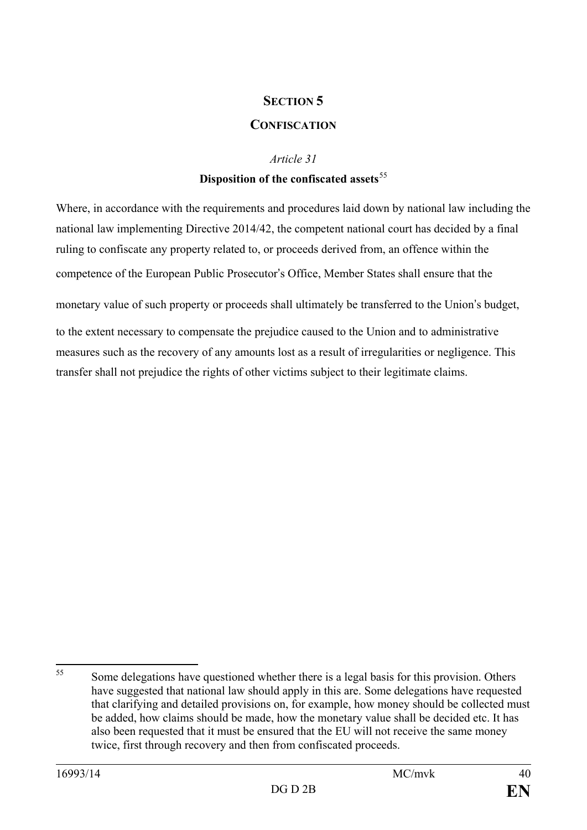#### **SECTION 5**

#### **CONFISCATION**

#### *Article 31*

#### **Disposition of the confiscated assets**[55](#page-39-0)

Where, in accordance with the requirements and procedures laid down by national law including the national law implementing Directive 2014/42, the competent national court has decided by a final ruling to confiscate any property related to, or proceeds derived from, an offence within the competence of the European Public Prosecutor's Office, Member States shall ensure that the

monetary value of such property or proceeds shall ultimately be transferred to the Union's budget,

to the extent necessary to compensate the prejudice caused to the Union and to administrative measures such as the recovery of any amounts lost as a result of irregularities or negligence. This transfer shall not prejudice the rights of other victims subject to their legitimate claims.

<span id="page-39-0"></span>Some delegations have questioned whether there is a legal basis for this provision. Others have suggested that national law should apply in this are. Some delegations have requested that clarifying and detailed provisions on, for example, how money should be collected must be added, how claims should be made, how the monetary value shall be decided etc. It has also been requested that it must be ensured that the EU will not receive the same money twice, first through recovery and then from confiscated proceeds. 55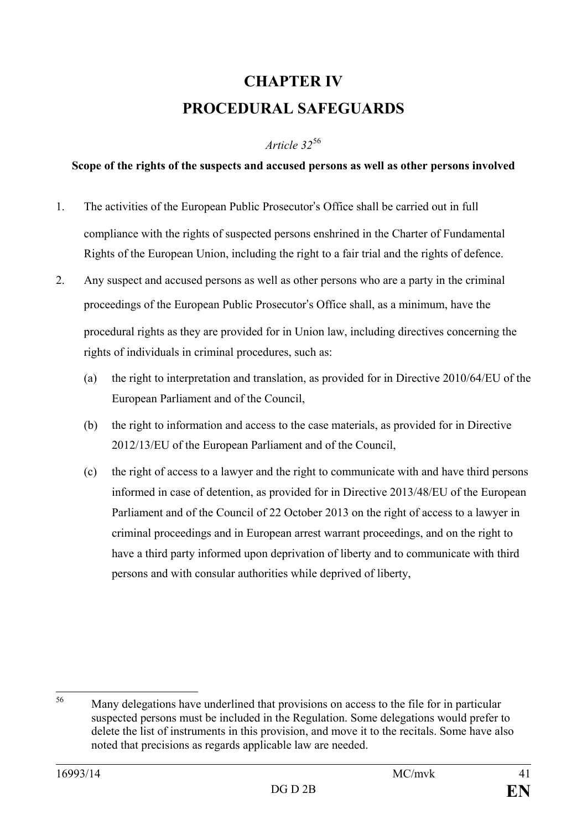## **CHAPTER IV PROCEDURAL SAFEGUARDS**

#### *Article 32*[56](#page-40-0)

#### **Scope of the rights of the suspects and accused persons as well as other persons involved**

- 1. The activities of the European Public Prosecutor's Office shall be carried out in full compliance with the rights of suspected persons enshrined in the Charter of Fundamental Rights of the European Union, including the right to a fair trial and the rights of defence.
- 2. Any suspect and accused persons as well as other persons who are a party in the criminal proceedings of the European Public Prosecutor's Office shall, as a minimum, have the procedural rights as they are provided for in Union law, including directives concerning the rights of individuals in criminal procedures, such as:
	- (a) the right to interpretation and translation, as provided for in Directive 2010/64/EU of the European Parliament and of the Council,
	- (b) the right to information and access to the case materials, as provided for in Directive 2012/13/EU of the European Parliament and of the Council,
	- (c) the right of access to a lawyer and the right to communicate with and have third persons informed in case of detention, as provided for in Directive 2013/48/EU of the European Parliament and of the Council of 22 October 2013 on the right of access to a lawyer in criminal proceedings and in European arrest warrant proceedings, and on the right to have a third party informed upon deprivation of liberty and to communicate with third persons and with consular authorities while deprived of liberty,

<span id="page-40-0"></span>Many delegations have underlined that provisions on access to the file for in particular suspected persons must be included in the Regulation. Some delegations would prefer to delete the list of instruments in this provision, and move it to the recitals. Some have also noted that precisions as regards applicable law are needed. 56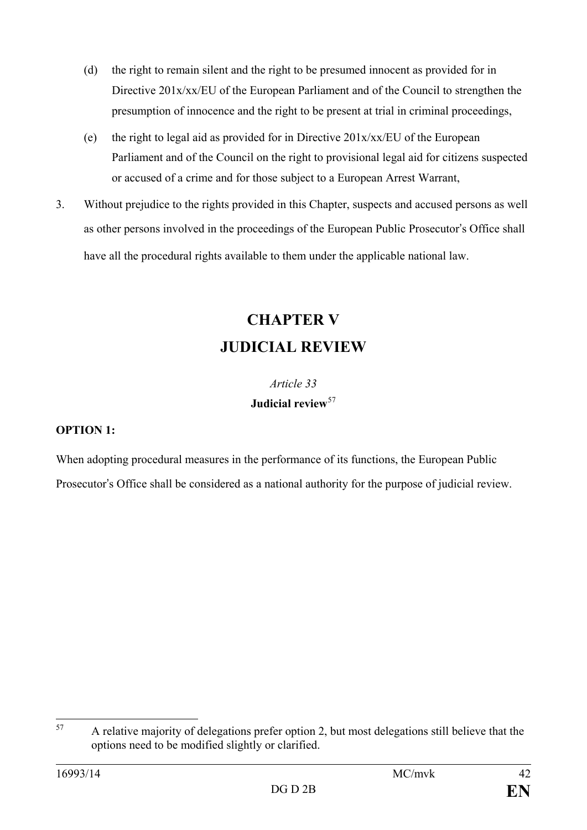- (d) the right to remain silent and the right to be presumed innocent as provided for in Directive 201x/xx/EU of the European Parliament and of the Council to strengthen the presumption of innocence and the right to be present at trial in criminal proceedings,
- (e) the right to legal aid as provided for in Directive 201x/xx/EU of the European Parliament and of the Council on the right to provisional legal aid for citizens suspected or accused of a crime and for those subject to a European Arrest Warrant,
- 3. Without prejudice to the rights provided in this Chapter, suspects and accused persons as well as other persons involved in the proceedings of the European Public Prosecutor's Office shall have all the procedural rights available to them under the applicable national law.

## **CHAPTER V JUDICIAL REVIEW**

### *Article 33* **Judicial review**[57](#page-41-0)

#### **OPTION 1:**

When adopting procedural measures in the performance of its functions, the European Public Prosecutor's Office shall be considered as a national authority for the purpose of judicial review.

<span id="page-41-0"></span>A relative majority of delegations prefer option 2, but most delegations still believe that the options need to be modified slightly or clarified. 57